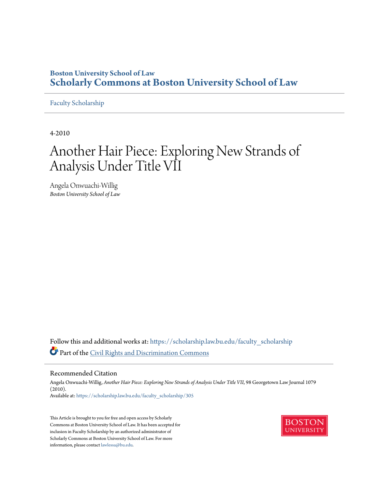# **Boston University School of Law [Scholarly Commons at Boston University School of Law](https://scholarship.law.bu.edu?utm_source=scholarship.law.bu.edu%2Ffaculty_scholarship%2F305&utm_medium=PDF&utm_campaign=PDFCoverPages)**

## [Faculty Scholarship](https://scholarship.law.bu.edu/faculty_scholarship?utm_source=scholarship.law.bu.edu%2Ffaculty_scholarship%2F305&utm_medium=PDF&utm_campaign=PDFCoverPages)

4-2010

# Another Hair Piece: Exploring New Strands of Analysis Under Title VII

Angela Onwuachi-Willig *Boston University School of Law*

Follow this and additional works at: [https://scholarship.law.bu.edu/faculty\\_scholarship](https://scholarship.law.bu.edu/faculty_scholarship?utm_source=scholarship.law.bu.edu%2Ffaculty_scholarship%2F305&utm_medium=PDF&utm_campaign=PDFCoverPages) Part of the [Civil Rights and Discrimination Commons](http://network.bepress.com/hgg/discipline/585?utm_source=scholarship.law.bu.edu%2Ffaculty_scholarship%2F305&utm_medium=PDF&utm_campaign=PDFCoverPages)

#### Recommended Citation

Angela Onwuachi-Willig, *Another Hair Piece: Exploring New Strands of Analysis Under Title VII*, 98 Georgetown Law Journal 1079 (2010). Available at: [https://scholarship.law.bu.edu/faculty\\_scholarship/305](https://scholarship.law.bu.edu/faculty_scholarship/305?utm_source=scholarship.law.bu.edu%2Ffaculty_scholarship%2F305&utm_medium=PDF&utm_campaign=PDFCoverPages)

This Article is brought to you for free and open access by Scholarly Commons at Boston University School of Law. It has been accepted for inclusion in Faculty Scholarship by an authorized administrator of Scholarly Commons at Boston University School of Law. For more information, please contact [lawlessa@bu.edu.](mailto:lawlessa@bu.edu)

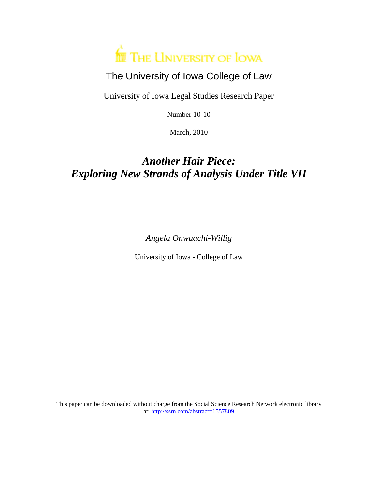

# The University of Iowa College of Law

University of Iowa Legal Studies Research Paper

Number 10-10

March, 2010

# *Another Hair Piece: Exploring New Strands of Analysis Under Title VII*

*Angela Onwuachi-Willig* 

University of Iowa - College of Law

This paper can be downloaded without charge from the Social Science Research Network electronic library at: http://ssrn.com/abstract=1557809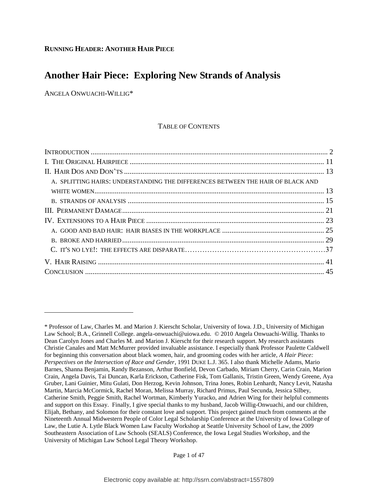## **RUNNING HEADER: ANOTHER HAIR PIECE**

# **Another Hair Piece: Exploring New Strands of Analysis**

ANGELA ONWUACHI-WILLIG\*

l

## TABLE OF CONTENTS

| A. SPLITTING HAIRS: UNDERSTANDING THE DIFFERENCES BETWEEN THE HAIR OF BLACK AND |  |
|---------------------------------------------------------------------------------|--|
|                                                                                 |  |
|                                                                                 |  |
|                                                                                 |  |
|                                                                                 |  |
|                                                                                 |  |
|                                                                                 |  |
|                                                                                 |  |
|                                                                                 |  |
|                                                                                 |  |

Page 1 of 47

<sup>\*</sup> Professor of Law, Charles M. and Marion J. Kierscht Scholar, University of Iowa. J.D., University of Michigan Law School; B.A., Grinnell College. angela-onwuachi@uiowa.edu. © 2010 Angela Onwuachi-Willig. Thanks to Dean Carolyn Jones and Charles M. and Marion J. Kierscht for their research support. My research assistants Christie Canales and Matt McMurrer provided invaluable assistance. I especially thank Professor Paulette Caldwell for beginning this conversation about black women, hair, and grooming codes with her article, *A Hair Piece: Perspectives on the Intersection of Race and Gender*, 1991 DUKE L.J. 365. I also thank Michelle Adams, Mario Barnes, Shanna Benjamin, Randy Bezanson, Arthur Bonfield, Devon Carbado, Miriam Cherry, Carin Crain, Marion Crain, Angela Davis, Tai Duncan, Karla Erickson, Catherine Fisk, Tom Gallanis, Tristin Green, Wendy Greene, Aya Gruber, Lani Guinier, Mitu Gulati, Don Herzog, Kevin Johnson, Trina Jones, Robin Lenhardt, Nancy Levit, Natasha Martin, Marcia McCormick, Rachel Moran, Melissa Murray, Richard Primus, Paul Secunda, Jessica Silbey, Catherine Smith, Peggie Smith, Rachel Wortman, Kimberly Yuracko, and Adrien Wing for their helpful comments and support on this Essay. Finally, I give special thanks to my husband, Jacob Willig-Onwuachi, and our children, Elijah, Bethany, and Solomon for their constant love and support. This project gained much from comments at the Nineteenth Annual Midwestern People of Color Legal Scholarship Conference at the University of Iowa College of Law, the Lutie A. Lytle Black Women Law Faculty Workshop at Seattle University School of Law, the 2009 Southeastern Association of Law Schools (SEALS) Conference, the Iowa Legal Studies Workshop, and the University of Michigan Law School Legal Theory Workshop.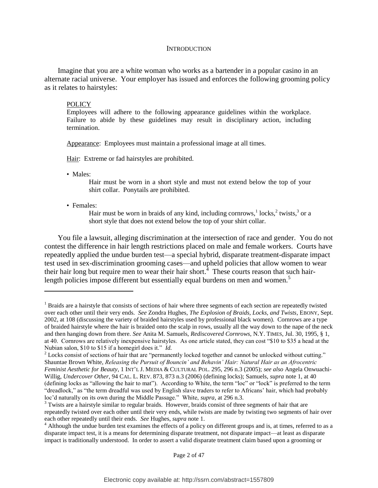#### **INTRODUCTION**

Imagine that you are a white woman who works as a bartender in a popular casino in an alternate racial universe. Your employer has issued and enforces the following grooming policy as it relates to hairstyles:

#### **POLICY**

Employees will adhere to the following appearance guidelines within the workplace. Failure to abide by these guidelines may result in disciplinary action, including termination.

Appearance: Employees must maintain a professional image at all times.

Hair: Extreme or fad hairstyles are prohibited.

• Males:

Hair must be worn in a short style and must not extend below the top of your shirt collar. Ponytails are prohibited.

• Females:

 $\overline{a}$ 

<span id="page-3-3"></span><span id="page-3-2"></span><span id="page-3-1"></span><span id="page-3-0"></span>Hair must be worn in braids of any kind, including cornrows,  $10c$  ks,  $26c$  twists,  $30c$  a short style that does not extend below the top of your shirt collar.

You file a lawsuit, alleging discrimination at the intersection of race and gender. You do not contest the difference in hair length restrictions placed on male and female workers. Courts have repeatedly applied the undue burden test—a special hybrid, disparate treatment-disparate impact test used in sex-discrimination grooming cases—and upheld policies that allow women to wear their hair long but require men to wear their hair short.<sup>4</sup> These courts reason that such hairlength policies impose different but essentially equal burdens on men and women.<sup>5</sup>

Page 2 of 47

 $<sup>1</sup>$  Braids are a hairstyle that consists of sections of hair where three segments of each section are repeatedly twisted</sup> over each other until their very ends. *See* Zondra Hughes, *The Explosion of Braids, Locks, and Twists*, EBONY, Sept. 2002, at 108 (discussing the variety of braided hairstyles used by professional black women). Cornrows are a type of braided hairstyle where the hair is braided onto the scalp in rows, usually all the way down to the nape of the neck and then hanging down from there. *See* Anita M. Samuels, *Rediscovered Cornrows*, N.Y. TIMES, Jul. 30, 1995, § 1, at 40. Cornrows are relatively inexpensive hairstyles. As one article stated, they can cost "\$10 to \$35 a head at the Nubian salon, \$10 to \$15 if a homegirl does it." *Id.* 

<sup>&</sup>lt;sup>2</sup> Locks consist of sections of hair that are "permanently locked together and cannot be unlocked without cutting." Shauntae Brown White, *Releasing the Pursuit of Bouncin" and Behavin" Hair: Natural Hair as an Afrocentric Feminist Aesthetic for Beauty*, 1 INT'L J. MEDIA & CULTURAL POL. 295, 296 n.3 (2005); *see also* Angela Onwuachi-Willig, *Undercover Other*, 94 CAL. L. REV. 873, 873 n.3 (2006) (defining locks); Samuels, *supra* note [1,](#page-3-0) at 40 (defining locks as "allowing the hair to mat"). According to White, the term "loc" or "lock" is preferred to the term ―dreadlock,‖ as ―the term dreadful was used by English slave traders to refer to Africans' hair, which had probably loc'd naturally on its own during the Middle Passage." White, *supra*, at 296 n.3.

 $3$  Twists are a hairstyle similar to regular braids. However, braids consist of three segments of hair that are repeatedly twisted over each other until their very ends, while twists are made by twisting two segments of hair over each other repeatedly until their ends. *See* Hughes, *supra* not[e 1.](#page-3-0)

 $4$  Although the undue burden test examines the effects of a policy on different groups and is, at times, referred to as a disparate impact test, it is a means for determining disparate treatment, not disparate impact—at least as disparate impact is traditionally understood. In order to assert a valid disparate treatment claim based upon a grooming or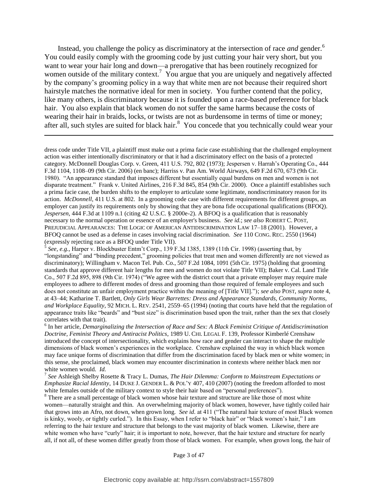<span id="page-4-1"></span><span id="page-4-0"></span>Instead, you challenge the policy as discriminatory at the intersection of race *and* gender.<sup>6</sup> You could easily comply with the grooming code by just cutting your hair very short, but you want to wear your hair long and down—a prerogative that has been routinely recognized for women outside of the military context.<sup>7</sup> You argue that you are uniquely and negatively affected by the company's grooming policy in a way that white men are not because their required short hairstyle matches the normative ideal for men in society. You further contend that the policy, like many others, is discriminatory because it is founded upon a race-based preference for black hair. You also explain that black women do not suffer the same harms because the costs of wearing their hair in braids, locks, or twists are not as burdensome in terms of time or money; after all, such styles are suited for black hair.<sup>8</sup> You concede that you technically could wear your

 $\overline{\phantom{a}}$ 

dress code under Title VII, a plaintiff must make out a prima facie case establishing that the challenged employment action was either intentionally discriminatory or that it had a discriminatory effect on the basis of a protected category. McDonnell Douglas Corp. v. Green, 411 U.S. 792, 802 (1973); Jespersen v. Harrah's Operating Co., 444 F.3d 1104, 1108–09 (9th Cir. 2006) (en banc); Harriss v. Pan Am. World Airways, 649 F.2d 670, 673 (9th Cir. 1980). "An appearance standard that imposes different but essentially equal burdens on men and women is not disparate treatment." Frank v. United Airlines, 216 F.3d 845, 854 (9th Cir. 2000). Once a plaintiff establishes such a prima facie case, the burden shifts to the employer to articulate some legitimate, nondiscriminatory reason for its action. *McDonnell*, 411 U.S. at 802. In a grooming code case with different requirements for different groups, an employer can justify its requirements only by showing that they are bona fide occupational qualifications (BFOQ). *Jespersen*, 444 F.3d at 1109 n.1 (citing 42 U.S.C. § 2000e-2). A BFOQ is a qualification that is reasonably necessary to the normal operation or essence of an employer's business. *See id.*; *see also* ROBERT C. POST, PREJUDICIAL APPEARANCES: THE LOGIC OF AMERICAN ANTIDISCRIMINATION LAW 17–18 (2001). However, a BFOQ cannot be used as a defense in cases involving racial discrimination. *See* 110 CONG. REC. 2550 (1964) (expressly rejecting race as a BFOQ under Title VII).

 $\frac{5}{5}$  See, e.g., Harper v. Blockbuster Entm't Corp., 139 F.3d 1385, 1389 (11th Cir. 1998) (asserting that, by ―longstanding‖ and ―binding precedent,‖ grooming policies that treat men and women differently are not viewed as discriminatory); Willingham v. Macon Tel. Pub. Co., 507 F.2d 1084, 1091 (5th Cir. 1975) (holding that grooming standards that approve different hair lengths for men and women do not violate Title VII); Baker v. Cal. Land Title Co., 507 F.2d 895, 898 (9th Cir. 1974) ("We agree with the district court that a private employer may require male employees to adhere to different modes of dress and grooming than those required of female employees and such does not constitute an unfair employment practice within the meaning of [Title VII]."); *see also* POST, *supra* not[e 4,](#page-3-1) at 43–44; Katharine T. Bartlett, *Only Girls Wear Barrettes: Dress and Appearance Standards, Community Norms, and Workplace Equality*, 92 MICH. L. REV. 2541, 2559–65 (1994) (noting that courts have held that the regulation of appearance traits like "beards" and "bust size" is discrimination based upon the trait, rather than the sex that closely correlates with that trait).

6 In her article, *Demarginalizing the Intersection of Race and Sex: A Black Feminist Critique of Antidiscrimination Doctrine, Feminist Theory and Antiracist Politics*, 1989 U. CHI. LEGAL F. 139, Professor Kimberlé Crenshaw introduced the concept of intersectionality, which explains how race and gender can interact to shape the multiple dimensions of black women's experiences in the workplace. Crenshaw explained the way in which black women may face unique forms of discrimination that differ from the discrimination faced by black men or white women; in this sense, she proclaimed, black women may encounter discrimination in contexts where neither black men nor white women would. *Id.*

7 *See* Ashleigh Shelby Rosette & Tracy L. Dumas, *The Hair Dilemma: Conform to Mainstream Expectations or Emphasize Racial Identity*, 14 DUKE J. GENDER L. & POL'Y 407, 410 (2007) (noting the freedom afforded to most white females outside of the military context to style their hair based on "personal preferences").

<sup>8</sup> There are a small percentage of black women whose hair texture and structure are like those of most white women—naturally straight and thin. An overwhelming majority of black women, however, have tightly coiled hair that grows into an Afro, not down, when grown long. *See id.* at 411 ("The natural hair texture of most Black women is kinky, wooly, or tightly curled."). In this Essay, when I refer to "black hair" or "black women's hair," I am referring to the hair texture and structure that belongs to the vast majority of black women. Likewise, there are white women who have "curly" hair; it is important to note, however, that the hair texture and structure for nearly all, if not all, of these women differ greatly from those of black women. For example, when grown long, the hair of

Page 3 of 47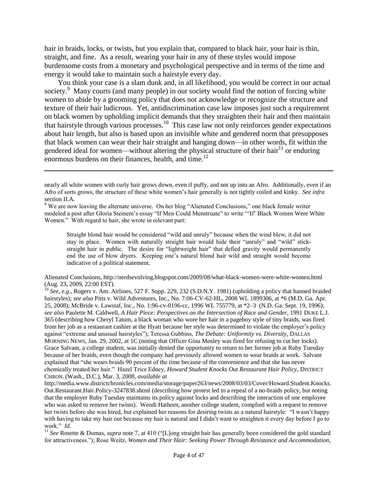hair in braids, locks, or twists, but you explain that, compared to black hair, your hair is thin, straight, and fine. As a result, wearing your hair in any of these styles would impose burdensome costs from a monetary and psychological perspective and in terms of the time and energy it would take to maintain such a hairstyle every day.

<span id="page-5-0"></span>You think your case is a slam dunk and, in all likelihood, you would be correct in our actual society.<sup>9</sup> Many courts (and many people) in our society would find the notion of forcing white women to abide by a grooming policy that does not acknowledge or recognize the structure and texture of their hair ludicrous. Yet, antidiscrimination case law imposes just such a requirement on black women by upholding implicit demands that they straighten their hair and then maintain that hairstyle through various processes.<sup>10</sup> This case law not only reinforces gender expectations about hair length, but also is based upon an invisible white and gendered norm that presupposes that black women can wear their hair straight and hanging down—in other words, fit within the gendered ideal for women—without altering the physical structure of their hair<sup>11</sup> or enduring enormous burdens on their finances, health, and time. $12$ 

 $\overline{\phantom{a}}$ 

<span id="page-5-1"></span>Straight blond hair would be considered "wild and unruly" because when the wind blew, it did not stay in place. Women with naturally straight hair would hide their "unruly" and "wild" stickstraight hair in public. The desire for "lightweight hair" that defied gravity would permanently end the use of blow dryers. Keeping one's natural blond hair wild and straight would become indicative of a political statement.

Alienated Conclusions, http://nerdsevolving.blogspot.com/2009/08/what-black-women-were-white-women.html (Aug. 23, 2009, 22:00 EST).

<sup>10</sup> See, e.g., Rogers v. Am. Airlines, 527 F. Supp. 229, 232 (S.D.N.Y. 1981) (upholding a policy that banned braided hairstyles); *see also* Pitts v. Wild Adventures, Inc., No. 7:06-CV-62-HL, 2008 WL 1899306, at \*6 (M.D. Ga. Apr. 25, 2008); McBride v. Lawstaf, Inc., No. 1:96-cv-0196-cc, 1996 WL 755779, at \*2–3 (N.D. Ga. Sept. 19, 1996); *see also* Paulette M. Caldwell, *A Hair Piece: Perspectives on the Intersection of Race and Gender*, 1991 DUKE L.J. 365 (describing how Cheryl Tatum, a black woman who wore her hair in a pageboy style of tiny braids, was fired from her job as a restaurant cashier at the Hyatt because her style was determined to violate the employer's policy against "extreme and unusual hairstyles"); Teressa Gubbins, *The Debate: Uniformity vs. Diversity*, DALLAS MORNING NEWS, Jan. 29, 2002, at 1C (noting that Officer Gina Mosley was fired for refusing to cut her locks). Grace Salvant, a college student, was initially denied the opportunity to return to her former job at Ruby Tuesday because of her braids, even though the company had previously allowed women to wear braids at work. Salvant explained that "she wears braids 90 percent of the time because of the convenience and that she has never chemically treated her hair.‖ Hazel Trice Edney, *Howard Student Knocks Out Restaurant Hair Policy*, DISTRICT CHRON. (Wash., D.C.), Mar. 3, 2008, *available at* 

http://media.www.districtchronicles.com/media/storage/paper263/news/2008/03/03/Cover/Howard.Student.Knocks. Out.Restaurant.Hair.Policy-3247838.shtml (describing how protest led to a repeal of a no-braids policy, but noting that the employer Ruby Tuesday maintains its policy against locks and describing the interaction of one employee who was asked to remove her twists). Wendi Hathorn, another college student, complied with a request to remove her twists before she was hired, but explained her reasons for desiring twists as a natural hairstyle: "I wasn't happy with having to take my hair out because my hair is natural and I didn't want to straighten it every day before I go to work." *Id.* 

<sup>11</sup> See Rosette & Dumas, *supra* note [7,](#page-4-0) at 410 ("[L]ong straight hair has generally been considered the gold standard for attractiveness.‖); Rose Weitz, *Women and Their Hair: Seeking Power Through Resistance and Accommodation*,

nearly all white women with curly hair grows down, even if puffy, and not up into an Afro. Additionally, even if an Afro of sorts grows, the structure of these white women's hair generally is not tightly coiled and kinky. *See infra* section II.A.

 $9$  We are now leaving the alternate universe. On her blog "Alienated Conclusions," one black female writer modeled a post after Gloria Steinem's essay "If Men Could Menstruate" to write "'If' Black Women Were White Women." With regard to hair, she wrote in relevant part: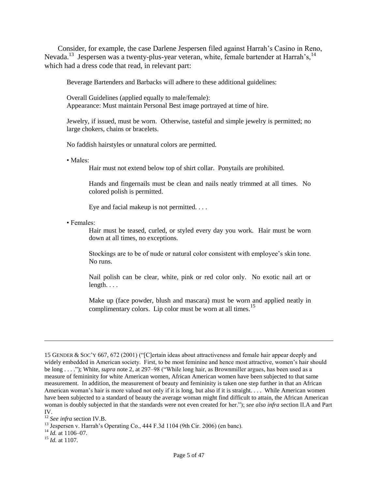Consider, for example, the case Darlene Jespersen filed against Harrah's Casino in Reno, Nevada.<sup>13</sup> Jespersen was a twenty-plus-year veteran, white, female bartender at Harrah's,<sup>14</sup> which had a dress code that read, in relevant part:

Beverage Bartenders and Barbacks will adhere to these additional guidelines:

Overall Guidelines (applied equally to male/female): Appearance: Must maintain Personal Best image portrayed at time of hire.

Jewelry, if issued, must be worn. Otherwise, tasteful and simple jewelry is permitted; no large chokers, chains or bracelets.

No faddish hairstyles or unnatural colors are permitted.

• Males:

Hair must not extend below top of shirt collar. Ponytails are prohibited.

Hands and fingernails must be clean and nails neatly trimmed at all times. No colored polish is permitted.

Eye and facial makeup is not permitted. . . .

• Females:

Hair must be teased, curled, or styled every day you work. Hair must be worn down at all times, no exceptions.

Stockings are to be of nude or natural color consistent with employee's skin tone. No runs.

Nail polish can be clear, white, pink or red color only. No exotic nail art or length. . . .

Make up (face powder, blush and mascara) must be worn and applied neatly in complimentary colors. Lip color must be worn at all times.<sup>15</sup>

<sup>15</sup> GENDER & SOC'Y 667, 672 (2001) ("[C]ertain ideas about attractiveness and female hair appear deeply and widely embedded in American society. First, to be most feminine and hence most attractive, women's hair should be long . . . ."); White, *supra* note [2,](#page-3-2) at 297–98 ("While long hair, as Brownmiller argues, has been used as a measure of femininity for white American women, African American women have been subjected to that same measurement. In addition, the measurement of beauty and femininity is taken one step further in that an African American woman's hair is more valued not only if it is long, but also if it is straight. . . . While American women have been subjected to a standard of beauty the average woman might find difficult to attain, the African American woman is doubly subjected in that the standards were not even created for her.‖); *see also infra* section II.A and Part IV.

<sup>12</sup> *See infra* section IV.B.

<sup>&</sup>lt;sup>13</sup> Jespersen v. Harrah's Operating Co., 444 F.3d 1104 (9th Cir. 2006) (en banc).

 $^{14}$  *Id.* at 1106–07.

<sup>15</sup> *Id.* at 1107.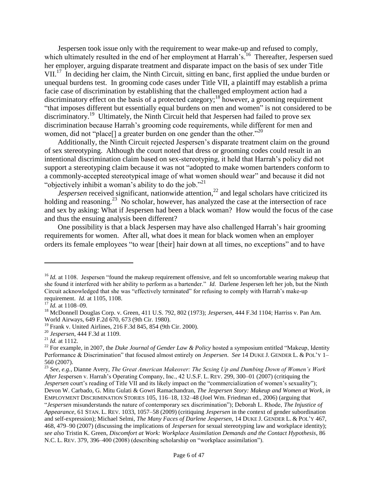Jespersen took issue only with the requirement to wear make-up and refused to comply, which ultimately resulted in the end of her employment at Harrah's.<sup>16</sup> Thereafter, Jespersen sued her employer, arguing disparate treatment and disparate impact on the basis of sex under Title VII.<sup>17</sup> In deciding her claim, the Ninth Circuit, sitting en banc, first applied the undue burden or unequal burdens test. In grooming code cases under Title VII, a plaintiff may establish a prima facie case of discrimination by establishing that the challenged employment action had a discriminatory effect on the basis of a protected category;<sup>18</sup> however, a grooming requirement "that imposes different but essentially equal burdens on men and women" is not considered to be discriminatory.<sup>19</sup> Ultimately, the Ninth Circuit held that Jespersen had failed to prove sex discrimination because Harrah's grooming code requirements, while different for men and women, did not "place[] a greater burden on one gender than the other."<sup>20</sup>

Additionally, the Ninth Circuit rejected Jespersen's disparate treatment claim on the ground of sex stereotyping. Although the court noted that dress or grooming codes could result in an intentional discrimination claim based on sex-stereotyping, it held that Harrah's policy did not support a stereotyping claim because it was not "adopted to make women bartenders conform to a commonly-accepted stereotypical image of what women should wear" and because it did not "objectively inhibit a woman's ability to do the job."<sup>21</sup>

<span id="page-7-0"></span>*Jespersen* received significant, nationwide attention,<sup>22</sup> and legal scholars have criticized its holding and reasoning.<sup>23</sup> No scholar, however, has analyzed the case at the intersection of race and sex by asking: What if Jespersen had been a black woman? How would the focus of the case and thus the ensuing analysis been different?

One possibility is that a black Jespersen may have also challenged Harrah's hair grooming requirements for women. After all, what does it mean for black women when an employer orders its female employees "to wear [their] hair down at all times, no exceptions" and to have

 $16$  *Id.* at 1108. Jespersen "found the makeup requirement offensive, and felt so uncomfortable wearing makeup that she found it interfered with her ability to perform as a bartender." *Id.* Darlene Jespersen left her job, but the Ninth Circuit acknowledged that she was "effectively terminated" for refusing to comply with Harrah's make-up requirement. *Id.* at 1105, 1108.

 $^{17}$   $\hat{I}$ *d.* at 1108–09.

<sup>18</sup> McDonnell Douglas Corp. v. Green, 411 U.S. 792, 802 (1973); *Jespersen*, 444 F.3d 1104; Harriss v. Pan Am. World Airways, 649 F.2d 670, 673 (9th Cir. 1980).

<sup>19</sup> Frank v. United Airlines, 216 F.3d 845, 854 (9th Cir. 2000).

<sup>20</sup> *Jespersen*, 444 F.3d at 1109.

<sup>21</sup> *Id.* at 1112.

<sup>&</sup>lt;sup>22</sup> For example, in 2007, the *Duke Journal of Gender Law & Policy* hosted a symposium entitled "Makeup, Identity Performance & Discrimination" that focused almost entirely on *Jespersen. See* 14 DUKE J. GENDER L. & POL'Y 1– 560 (2007).

<sup>23</sup> *See, e.g.*, Dianne Avery, *The Great American Makeover: The Sexing Up and Dumbing Down of Women"s Work After* Jespersen v. Harrah's Operating Company, Inc., 42 U.S.F. L. REV. 299, 300–01 (2007) (critiquing the *Jespersen* court's reading of Title VII and its likely impact on the "commercialization of women's sexuality"); Devon W. Carbado, G. Mitu Gulati & Gowri Ramachandran, *The Jespersen Story: Makeup and Women at Work*, *in* EMPLOYMENT DISCRIMINATION STORIES 105, 116–18, 132–48 (Joel Wm. Friedman ed., 2006) (arguing that ―*Jespersen* misunderstands the nature of contemporary sex discrimination‖); Deborah L. Rhode, *The Injustice of Appearance*, 61 STAN. L. REV. 1033, 1057–58 (2009) (critiquing *Jespersen* in the context of gender subordination and self-expression); Michael Selmi, *The Many Faces of Darlene Jespersen*, 14 DUKE J. GENDER L. & POL'Y 467, 468, 479–90 (2007) (discussing the implications of *Jespersen* for sexual stereotyping law and workplace identity); *see also* Tristin K. Green, *Discomfort at Work: Workplace Assimilation Demands and the Contact Hypothesis*, 86 N.C. L. REV. 379, 396–400 (2008) (describing scholarship on "workplace assimilation").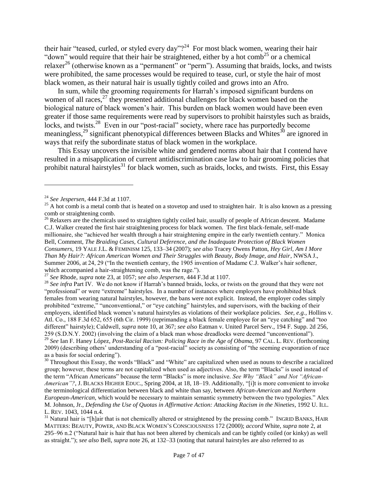<span id="page-8-0"></span>their hair "teased, curled, or styled every day"?<sup>24</sup> For most black women, wearing their hair "down" would require that their hair be straightened, either by a hot comb<sup>25</sup> or a chemical relaxer<sup>26</sup> (otherwise known as a "permanent" or "perm"). Assuming that braids, locks, and twists were prohibited, the same processes would be required to tease, curl, or style the hair of most black women, as their natural hair is usually tightly coiled and grows into an Afro.

In sum, while the grooming requirements for Harrah's imposed significant burdens on women of all races, $27$  they presented additional challenges for black women based on the biological nature of black women's hair. This burden on black women would have been even greater if those same requirements were read by supervisors to prohibit hairstyles such as braids, locks, and twists. $^{28}$  Even in our "post-racial" society, where race has purportedly become meaningless,<sup>29</sup> significant phenotypical differences between Blacks and Whites<sup>30</sup> are ignored in ways that reify the subordinate status of black women in the workplace.

This Essay uncovers the invisible white and gendered norms about hair that I contend have resulted in a misapplication of current antidiscrimination case law to hair grooming policies that prohibit natural hairstyles<sup>31</sup> for black women, such as braids, locks, and twists. First, this Essay

 $\overline{a}$ 

2009) (describing others' understanding of a "post-racial" society as consisting of "the seeming evaporation of race as a basis for social ordering").

 $30$  Throughout this Essay, the words "Black" and "White" are capitalized when used as nouns to describe a racialized group; however, these terms are not capitalized when used as adjectives. Also, the term "Blacks" is used instead of the term "African Americans" because the term "Blacks" is more inclusive. *See Why "Black" and Not "African-American"?*, J. BLACKS HIGHER EDUC., Spring 2004, at 18, 18–19. Additionally, "[i]t is more convenient to invoke the terminological differentiation between black and white than say, between *African-American* and *Northern European-American*, which would be necessary to maintain semantic symmetry between the two typologies." Alex M. Johnson, Jr., *Defending the Use of Quotas in Affirmative Action: Attacking Racism in the Nineties*, 1992 U. ILL. L. REV. 1043, 1044 n.4.

<sup>24</sup> *See Jespersen*, 444 F.3d at 1107.

 $^{25}$  A hot comb is a metal comb that is heated on a stovetop and used to straighten hair. It is also known as a pressing comb or straightening comb.

<sup>&</sup>lt;sup>26</sup> Relaxers are the chemicals used to straighten tightly coiled hair, usually of people of African descent. Madame C.J. Walker created the first hair straightening process for black women. The first black-female, self-made millionaire, she "achieved her wealth through a hair straightening empire in the early twentieth century." Monica Bell, Comment, *The Braiding Cases, Cultural Deference, and the Inadequate Protection of Black Women Consumers*, 19 YALE J.L. & FEMINISM 125, 133–34 (2007); *see also* Tracey Owens Patton, *Hey Girl, Am I More Than My Hair?: African American Women and Their Struggles with Beauty, Body Image, and Hair*, NWSA J., Summer 2006, at 24, 29 ("In the twentieth century, the 1905 invention of Madame C.J. Walker's hair softener, which accompanied a hair-straightening comb, was the rage.").

<sup>27</sup> *See* Rhode, *supra* not[e 23,](#page-7-0) at 1057; *see also Jespersen*, 444 F.3d at 1107.

<sup>&</sup>lt;sup>28</sup> See infra Part IV. We do not know if Harrah's banned braids, locks, or twists on the ground that they were not "professional" or were "extreme" hairstyles. In a number of instances where employers have prohibited black females from wearing natural hairstyles, however, the bans were not explicit. Instead, the employer codes simply prohibited "extreme," "unconventional," or "eye catching" hairstyles, and supervisors, with the backing of their employers, identified black women's natural hairstyles as violations of their workplace policies. *See, e.g.*, Hollins v. Atl. Co., 188 F.3d 652, 655 (6th Cir. 1999) (reprimanding a black female employee for an "eye catching" and "too different" hairstyle); Caldwell, *supra* not[e 10,](#page-5-0) at 367; *see also* Eatman v. United Parcel Serv., 194 F. Supp. 2d 256, 259 (S.D.N.Y. 2002) (involving the claim of a black man whose dreadlocks were deemed "unconventional"). <sup>29</sup> *See* Ian F. Haney López, *Post-Racial Racism: Policing Race in the Age of Obama*, 97 CAL. L. REV. (forthcoming

<sup>&</sup>lt;sup>31</sup> Natural hair is "[h]air that is not chemically altered or straightened by the pressing comb." INGRID BANKS, HAIR MATTERS: BEAUTY, POWER, AND BLACK WOMEN'S CONSCIOUSNESS 172 (2000); *accord* White, *supra* note [2,](#page-3-2) at  $295–96$  n.2 ("Natural hair is hair that has not been altered by chemicals and can be tightly coiled (or kinky) as well as straight.‖); *see also* Bell, *supra* note [26,](#page-8-0) at 132–33 (noting that natural hairstyles are also referred to as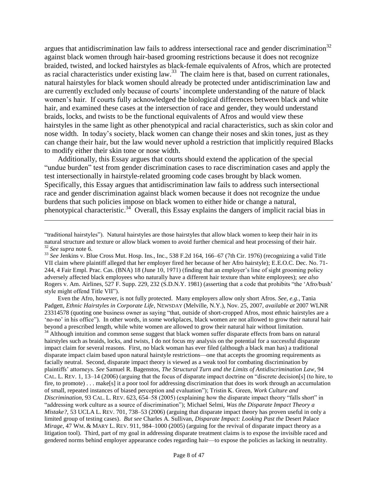<span id="page-9-0"></span>argues that antidiscrimination law fails to address intersectional race and gender discrimination<sup>32</sup> against black women through hair-based grooming restrictions because it does not recognize braided, twisted, and locked hairstyles as black-female equivalents of Afros, which are protected as racial characteristics under existing law. $33$  The claim here is that, based on current rationales, natural hairstyles for black women should already be protected under antidiscrimination law and are currently excluded only because of courts' incomplete understanding of the nature of black women's hair. If courts fully acknowledged the biological differences between black and white hair, and examined these cases at the intersection of race and gender, they would understand braids, locks, and twists to be the functional equivalents of Afros and would view these hairstyles in the same light as other phenotypical and racial characteristics, such as skin color and nose width. In today's society, black women can change their noses and skin tones, just as they can change their hair, but the law would never uphold a restriction that implicitly required Blacks to modify either their skin tone or nose width.

Additionally, this Essay argues that courts should extend the application of the special "undue burden" test from gender discrimination cases to race discrimination cases and apply the test intersectionally in hairstyle-related grooming code cases brought by black women. Specifically, this Essay argues that antidiscrimination law fails to address such intersectional race and gender discrimination against black women because it does not recognize the undue burdens that such policies impose on black women to either hide or change a natural, phenotypical characteristic.<sup>34</sup> Overall, this Essay explains the dangers of implicit racial bias in

<span id="page-9-1"></span> $\overline{\phantom{a}}$ 

Even the Afro, however, is not fully protected. Many employers allow only short Afros. *See, e.g.*, Tania Padgett, *Ethnic Hairstyles in Corporate Life*, NEWSDAY (Melville, N.Y.), Nov. 25, 2007, *available at* 2007 WLNR 23314578 (quoting one business owner as saying "that, outside of short-cropped Afros, most ethnic hairstyles are a ‗no-no' in his office‖). In other words, in some workplaces, black women are not allowed to grow their natural hair beyond a prescribed length, while white women are allowed to grow their natural hair without limitation. <sup>34</sup> Although intuition and common sense suggest that black women suffer disparate effects from bans on natural hairstyles such as braids, locks, and twists, I do not focus my analysis on the potential for a successful disparate impact claim for several reasons. First, no black woman has ever filed (although a black man has) a traditional disparate impact claim based upon natural hairstyle restrictions—one that accepts the grooming requirements as facially neutral. Second, disparate impact theory is viewed as a weak tool for combating discrimination by plaintiffs' attorneys. *See* Samuel R. Bagenstos, *The [Structural Turn and the Limits of Antidiscrimination Law](http://web2.westlaw.com/find/default.wl?tf=-1&rs=WLW9.10&serialnum=0315458425&fn=_top&sv=Split&tc=-1&pbc=F3DF6951&ordoc=0330253526&findtype=Y&db=1107&vr=2.0&rp=%2ffind%2fdefault.wl&mt=208)*, 94 CAL. L. REV[. 1, 13–14 \(2006\)](http://web2.westlaw.com/find/default.wl?tf=-1&rs=WLW9.10&serialnum=0315458425&fn=_top&sv=Split&tc=-1&pbc=F3DF6951&ordoc=0330253526&findtype=Y&db=1107&vr=2.0&rp=%2ffind%2fdefault.wl&mt=208) (arguing that the focus of disparate impact doctrine on "discrete decision[s] (to hire, to fire, to promote) . . . make[s] it a poor tool for addressing discrimination that does its work through an accumulation of small, repeated instances of biased perception and evaluation"); Tristin K. Green, *Work Culture and Discrimination*, 93 CAL. L. REV. 623, 654–58 (2005) (explaining how the disparate impact theory "falls short" in "addressing work culture as a source of discrimination"); Michael Selmi, *Was the Disparate Impact Theory a Mistake?*, 53 UCLA L. REV. [701, 738–53 \(2006\)](http://web2.westlaw.com/find/default.wl?tf=-1&rs=WLW9.10&referencepositiontype=S&serialnum=0307716132&fn=_top&sv=Split&referenceposition=738&pbc=F3DF6951&tc=-1&ordoc=0330253526&findtype=Y&db=3041&vr=2.0&rp=%2ffind%2fdefault.wl&mt=208) (arguing that disparate impact theory has proven useful in only a limited group of testing cases). *But see* Charles A. Sullivan, *Disparate Impact: Looking Past the* Desert Palace *Mirage*, 47 WM. & MARY L. REV. 911, 984–1000 (2005) (arguing for the revival of disparate impact theory as a litigation tool). Third, part of my goal in addressing disparate treatment claims is to expose the invisible raced and gendered norms behind employer appearance codes regarding hair—to expose the policies as lacking in neutrality.

<sup>―</sup>traditional hairstyles‖). Natural hairstyles are those hairstyles that allow black women to keep their hair in its natural structure and texture or allow black women to avoid further chemical and heat processing of their hair. <sup>32</sup> *See supra* note [6.](#page-4-1)

<sup>&</sup>lt;sup>33</sup> See Jenkins v. Blue Cross Mut. Hosp. Ins., Inc., 538 F.2d 164, 166–67 (7th Cir. 1976) (recognizing a valid Title VII claim where plaintiff alleged that her employer fired her because of her Afro hairstyle); E.E.O.C. Dec. No. 71- 244, 4 Fair Empl. Prac. Cas. (BNA) 18 (June 10, 1971) (finding that an employer's line of sight grooming policy adversely affected black employees who naturally have a different hair texture than white employees); *see also*  Rogers v. Am. Airlines, 527 F. Supp. 229, 232 (S.D.N.Y. 1981) (asserting that a code that prohibits "the 'Afro/bush' style might offend Title VII").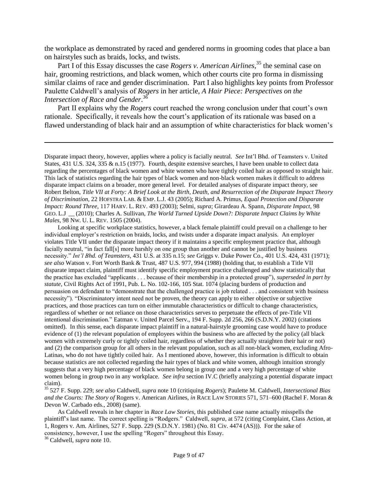the workplace as demonstrated by raced and gendered norms in grooming codes that place a ban on hairstyles such as braids, locks, and twists.

<span id="page-10-0"></span>Part I of this Essay discusses the case *Rogers v. American Airlines*, <sup>35</sup> the seminal case on hair, grooming restrictions, and black women, which other courts cite pro forma in dismissing similar claims of race and gender discrimination. Part I also highlights key points from Professor Paulette Caldwell's analysis of *Rogers* in her article, *A Hair Piece: Perspectives on the Intersection of Race and Gender*. 36

Part II explains why the *Rogers* court reached the wrong conclusion under that court's own rationale. Specifically, it reveals how the court's application of its rationale was based on a flawed understanding of black hair and an assumption of white characteristics for black women's

Looking at specific workplace statistics, however, a black female plaintiff could prevail on a challenge to her individual employer's restriction on braids, locks, and twists under a disparate impact analysis. An employer violates Title VII under the disparate impact theory if it maintains a specific employment practice that, although facially neutral, "in fact fall[s] more harshly on one group than another and cannot be justified by business necessity.‖ *Int"l Bhd. of Teamsters*, 431 U.S. at 335 n.15; *see* Griggs v. Duke Power Co., 401 U.S. 424, 431 (1971); *see also* Watson v. Fort Worth Bank & Trust, 487 U.S. 977, 994 (1988) (holding that, to establish a Title VII disparate impact claim, plaintiff must identify specific employment practice challenged and show statistically that the practice has excluded "applicants . . . because of their membership in a protected group"), *superseded in part by statute*, Civil Rights Act of 1991, Pub. L. No. 102-166, 105 Stat. 1074 (placing burdens of production and persuasion on defendant to "demonstrate that the challenged practice is job related . . . and consistent with business necessity"). "Discriminatory intent need not be proven, the theory can apply to either objective or subjective practices, and those practices can turn on either immutable characteristics or difficult to change characteristics, regardless of whether or not reliance on those characteristics serves to perpetuate the effects of pre-Title VII intentional discrimination." Eatman v. United Parcel Serv., 194 F. Supp. 2d 256, 266 (S.D.N.Y. 2002) (citations omitted). In this sense, each disparate impact plaintiff in a natural-hairstyle grooming case would have to produce evidence of (1) the relevant population of employees within the business who are affected by the policy (all black women with extremely curly or tightly coiled hair, regardless of whether they actually straighten their hair or not) and (2) the comparison group for all others in the relevant population, such as all non-black women, excluding Afro-Latinas, who do not have tightly coiled hair. As I mentioned above, however, this information is difficult to obtain because statistics are not collected regarding the hair types of black and white women, although intuition strongly suggests that a very high percentage of black women belong in group one and a very high percentage of white women belong in group two in any workplace. *See infra* section IV.C (briefly analyzing a potential disparate impact claim).

<sup>35</sup> 527 F. Supp. 229; *see also* Caldwell, *supra* note [10](#page-5-0) (critiquing *Rogers*); Paulette M. Caldwell, *Intersectional Bias and the Courts: The Story of* Rogers v. American Airlines, *in* RACE LAW STORIES 571, 571–600 (Rachel F. Moran & Devon W. Carbado eds., 2008) (same).

As Caldwell reveals in her chapter in *Race Law Stories*, this published case name actually misspells the plaintiff's last name. The correct spelling is "Rodgers." Caldwell, *supra*, at 572 (citing Complaint, Class Action, at 1, Rogers v. Am. Airlines, 527 F. Supp. 229 (S.D.N.Y. 1981) (No. 81 Civ. 4474 (AS))). For the sake of consistency, however, I use the spelling "Rogers" throughout this Essay.

<sup>36</sup> Caldwell, *supra* note [10.](#page-5-0)

Disparate impact theory, however, applies where a policy is facially neutral. *See* Int'l Bhd. of Teamsters v. United States, 431 U.S. 324, 335 & n.15 (1977). Fourth, despite extensive searches, I have been unable to collect data regarding the percentages of black women and white women who have tightly coiled hair as opposed to straight hair. This lack of statistics regarding the hair types of black women and non-black women makes it difficult to address disparate impact claims on a broader, more general level. For detailed analyses of disparate impact theory, see Robert Belton, *Title VII at Forty: A Brief Look at the Birth, Death, and Resurrection of the Disparate Impact Theory of Discrimination*, 22 HOFSTRA LAB. & EMP. L.J. 43 (2005); Richard A. Primus, *Equal Protection and Disparate Impact: Round Three*, 117 HARV. L. REV. 493 (2003); Selmi, *supra*; Girardeau A. Spann, *Disparate Impact*, 98 GEO. L.J <sub>\_\_</sub> (2010); Charles A. Sullivan, *The World Turned Upside Down?: Disparate Impact Claims by White Males*, 98 NW. U. L. REV. 1505 (2004).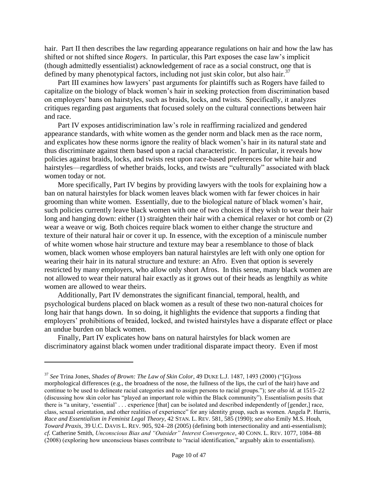hair. Part II then describes the law regarding appearance regulations on hair and how the law has shifted or not shifted since *Rogers*. In particular, this Part exposes the case law's implicit (though admittedly essentialist) acknowledgement of race as a social construct, one that is defined by many phenotypical factors, including not just skin color, but also hair.<sup>37</sup>

<span id="page-11-0"></span>Part III examines how lawyers' past arguments for plaintiffs such as Rogers have failed to capitalize on the biology of black women's hair in seeking protection from discrimination based on employers' bans on hairstyles, such as braids, locks, and twists. Specifically, it analyzes critiques regarding past arguments that focused solely on the cultural connections between hair and race.

Part IV exposes antidiscrimination law's role in reaffirming racialized and gendered appearance standards, with white women as the gender norm and black men as the race norm, and explicates how these norms ignore the reality of black women's hair in its natural state and thus discriminate against them based upon a racial characteristic. In particular, it reveals how policies against braids, locks, and twists rest upon race-based preferences for white hair and hairstyles—regardless of whether braids, locks, and twists are "culturally" associated with black women today or not.

More specifically, Part IV begins by providing lawyers with the tools for explaining how a ban on natural hairstyles for black women leaves black women with far fewer choices in hair grooming than white women. Essentially, due to the biological nature of black women's hair, such policies currently leave black women with one of two choices if they wish to wear their hair long and hanging down: either (1) straighten their hair with a chemical relaxer or hot comb or (2) wear a weave or wig. Both choices require black women to either change the structure and texture of their natural hair or cover it up. In essence, with the exception of a miniscule number of white women whose hair structure and texture may bear a resemblance to those of black women, black women whose employers ban natural hairstyles are left with only one option for wearing their hair in its natural structure and texture: an Afro. Even that option is severely restricted by many employers, who allow only short Afros. In this sense, many black women are not allowed to wear their natural hair exactly as it grows out of their heads as lengthily as white women are allowed to wear theirs.

Additionally, Part IV demonstrates the significant financial, temporal, health, and psychological burdens placed on black women as a result of these two non-natural choices for long hair that hangs down. In so doing, it highlights the evidence that supports a finding that employers' prohibitions of braided, locked, and twisted hairstyles have a disparate effect or place an undue burden on black women.

Finally, Part IV explicates how bans on natural hairstyles for black women are discriminatory against black women under traditional disparate impact theory. Even if most

<sup>&</sup>lt;sup>37</sup> See Trina Jones, *Shades of Brown: The Law of Skin Color*, 49 DUKE L.J. 1487, 1493 (2000) ("[G]ross morphological differences (e.g., the broadness of the nose, the fullness of the lips, the curl of the hair) have and continue to be used to delineate racial categories and to assign persons to racial groups."); *see also id.* at 1515–22 (discussing how skin color has "played an important role within the Black community"). Essentialism posits that there is "a unitary, 'essential'  $\ldots$  experience [that] can be isolated and described independently of [gender,] race, class, sexual orientation, and other realities of experience" for any identity group, such as women. Angela P. Harris, *Race and Essentialism in Feminist Legal Theory*, 42 STAN. L. REV. 581, 585 (1990); *see also* Emily M.S. Houh, *Toward Praxis*, 39 U.C. DAVIS L. REV. 905, 924–28 (2005) (defining both intersectionality and anti-essentialism); *cf.* Catherine Smith, *Unconscious Bias and "Outsider" Interest Convergence*, 40 CONN. L. REV. 1077, 1084–88 (2008) (exploring how unconscious biases contribute to "racial identification," arguably akin to essentialism).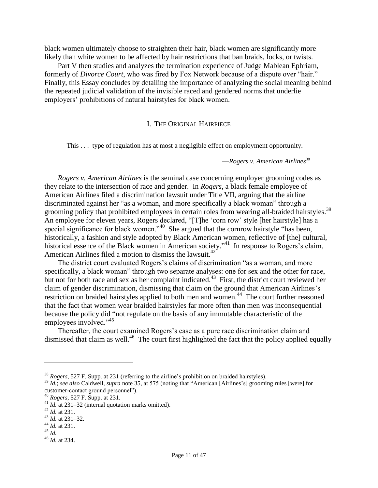black women ultimately choose to straighten their hair, black women are significantly more likely than white women to be affected by hair restrictions that ban braids, locks, or twists.

Part V then studies and analyzes the termination experience of Judge Mablean Ephriam, formerly of *Divorce Court*, who was fired by Fox Network because of a dispute over "hair." Finally, this Essay concludes by detailing the importance of analyzing the social meaning behind the repeated judicial validation of the invisible raced and gendered norms that underlie employers' prohibitions of natural hairstyles for black women.

## I. THE ORIGINAL HAIRPIECE

This . . . type of regulation has at most a negligible effect on employment opportunity.

—*Rogers v. American Airlines*<sup>38</sup>

*Rogers v. American Airlines* is the seminal case concerning employer grooming codes as they relate to the intersection of race and gender. In *Rogers*, a black female employee of American Airlines filed a discrimination lawsuit under Title VII, arguing that the airline discriminated against her "as a woman, and more specifically a black woman" through a grooming policy that prohibited employees in certain roles from wearing all-braided hairstyles.<sup>39</sup> An employee for eleven years, Rogers declared, "[T]he 'corn row' style [her hairstyle] has a special significance for black women." $40$  She argued that the cornrow hairstyle "has been, historically, a fashion and style adopted by Black American women, reflective of [the] cultural, historical essence of the Black women in American society.<sup> $2^{41}$ </sup> In response to Rogers's claim, American Airlines filed a motion to dismiss the lawsuit.<sup>42</sup>

The district court evaluated Rogers's claims of discrimination "as a woman, and more specifically, a black woman" through two separate analyses: one for sex and the other for race, but not for both race and sex as her complaint indicated.<sup>43</sup> First, the district court reviewed her claim of gender discrimination, dismissing that claim on the ground that American Airlines's restriction on braided hairstyles applied to both men and women.<sup>44</sup> The court further reasoned that the fact that women wear braided hairstyles far more often than men was inconsequential because the policy did "not regulate on the basis of any immutable characteristic of the employees involved."<sup>45</sup>

Thereafter, the court examined Rogers's case as a pure race discrimination claim and dismissed that claim as well.<sup>46</sup> The court first highlighted the fact that the policy applied equally

<sup>44</sup> *Id.* at 231.  $45 \frac{10}{1}$ 

<sup>38</sup> *Rogers*, 527 F. Supp. at 231 (referring to the airline's prohibition on braided hairstyles).

<sup>&</sup>lt;sup>39</sup> *Id.*; see also Caldwell, *supra* not[e 35,](#page-10-0) at 575 (noting that "American [Airlines's] grooming rules [were] for customer-contact ground personnel").

<sup>40</sup> *Rogers*, 527 F. Supp. at 231.

<sup>41</sup> *Id.* at 231–32 (internal quotation marks omitted).

<sup>42</sup> *Id.* at 231.

<sup>43</sup> *Id.* at 231–32.

<sup>46</sup> *Id.* at 234.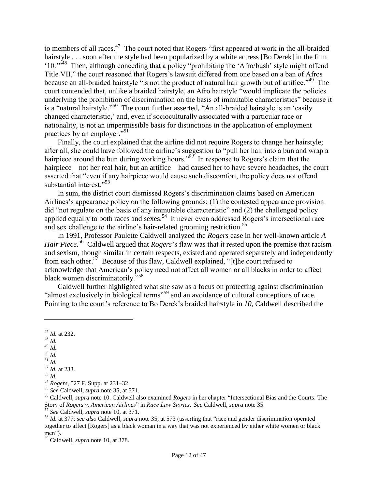to members of all races.<sup>47</sup> The court noted that Rogers "first appeared at work in the all-braided hairstyle . . . soon after the style had been popularized by a white actress [Bo Derek] in the film '10."<sup>48</sup> Then, although conceding that a policy "prohibiting the 'Afro/bush' style might offend Title VII," the court reasoned that Rogers's lawsuit differed from one based on a ban of Afros because an all-braided hairstyle "is not the product of natural hair growth but of artifice."<sup>49</sup> The court contended that, unlike a braided hairstyle, an Afro hairstyle "would implicate the policies underlying the prohibition of discrimination on the basis of immutable characteristics" because it is a "natural hairstyle."<sup>50</sup> The court further asserted, "An all-braided hairstyle is an 'easily changed characteristic,' and, even if socioculturally associated with a particular race or nationality, is not an impermissible basis for distinctions in the application of employment practices by an employer."<sup>51</sup>

Finally, the court explained that the airline did not require Rogers to change her hairstyle; after all, she could have followed the airline's suggestion to "pull her hair into a bun and wrap a hairpiece around the bun during working hours." $\frac{52}{2}$  In response to Rogers's claim that the hairpiece—not her real hair, but an artifice—had caused her to have severe headaches, the court asserted that "even if any hairpiece would cause such discomfort, the policy does not offend substantial interest."<sup>53</sup>

In sum, the district court dismissed Rogers's discrimination claims based on American Airlines's appearance policy on the following grounds: (1) the contested appearance provision did "not regulate on the basis of any immutable characteristic" and (2) the challenged policy applied equally to both races and sexes.<sup>54</sup> It never even addressed Rogers's intersectional race and sex challenge to the airline's hair-related grooming restriction.<sup>55</sup>

In 1991, Professor Paulette Caldwell analyzed the *Rogers* case in her well-known article *A Hair Piece*. 56 Caldwell argued that *Rogers*'s flaw was that it rested upon the premise that racism and sexism, though similar in certain respects, existed and operated separately and independently from each other.<sup>57</sup> Because of this flaw, Caldwell explained, "[t]he court refused to acknowledge that American's policy need not affect all women or all blacks in order to affect black women discriminatorily."<sup>58</sup>

Caldwell further highlighted what she saw as a focus on protecting against discrimination "almost exclusively in biological terms"<sup>59</sup> and an avoidance of cultural conceptions of race. Pointing to the court's reference to Bo Derek's braided hairstyle in *10*, Caldwell described the

- <sup>48</sup> *Id.*
- $^{49}$  *Id.*  $^{50}$  *Id.*

 $\overline{a}$ 

- <sup>51</sup> *Id.*
- 

<sup>57</sup> *See* Caldwell, *supra* note [10,](#page-5-0) at 371.

<sup>47</sup> *Id.* at 232.

<sup>52</sup> *Id.* at 233. <sup>53</sup> *Id.*

<sup>54</sup> *Rogers*, 527 F. Supp. at 231–32.

<sup>55</sup> *See* Caldwell, *supra* note [35,](#page-10-0) at 571.

<sup>&</sup>lt;sup>56</sup> Caldwell, *supra* note [10.](#page-5-0) Caldwell also examined *Rogers* in her chapter "Intersectional Bias and the Courts: The Story of *Rogers v. American Airlines*" in *Race Law Stories. See* Caldwell, *supra* note [35.](#page-10-0)

<sup>&</sup>lt;sup>58</sup> *Id.* at 377; *see also* Caldwell, *supra* note [35,](#page-10-0) at 573 (asserting that "race and gender discrimination operated together to affect [Rogers] as a black woman in a way that was not experienced by either white women or black men").

<sup>59</sup> Caldwell, *supra* note [10,](#page-5-0) at 378.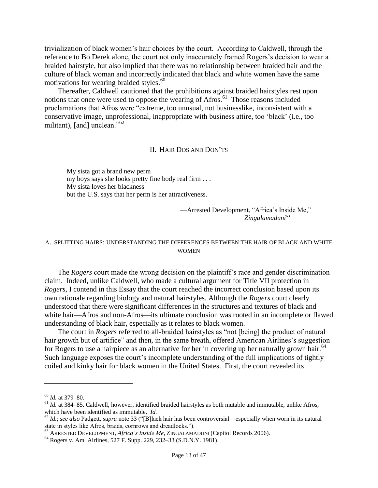trivialization of black women's hair choices by the court. According to Caldwell, through the reference to Bo Derek alone, the court not only inaccurately framed Rogers's decision to wear a braided hairstyle, but also implied that there was no relationship between braided hair and the culture of black woman and incorrectly indicated that black and white women have the same motivations for wearing braided styles.<sup>60</sup>

Thereafter, Caldwell cautioned that the prohibitions against braided hairstyles rest upon notions that once were used to oppose the wearing of  $Afros$ <sup> $61$ </sup>. Those reasons included proclamations that Afros were "extreme, too unusual, not businesslike, inconsistent with a conservative image, unprofessional, inappropriate with business attire, too ‗black' (i.e., too militant), [and] unclean." $62$ 

## II. HAIR DOS AND DON'TS

My sista got a brand new perm my boys says she looks pretty fine body real firm . . . My sista loves her blackness but the U.S. says that her perm is her attractiveness.

> —Arrested Development, "Africa's Inside Me," *Zingalamaduni*<sup>63</sup>

### A. SPLITTING HAIRS: UNDERSTANDING THE DIFFERENCES BETWEEN THE HAIR OF BLACK AND WHITE **WOMEN**

The *Rogers* court made the wrong decision on the plaintiff's race and gender discrimination claim. Indeed, unlike Caldwell, who made a cultural argument for Title VII protection in *Rogers*, I contend in this Essay that the court reached the incorrect conclusion based upon its own rationale regarding biology and natural hairstyles. Although the *Rogers* court clearly understood that there were significant differences in the structures and textures of black and white hair—Afros and non-Afros—its ultimate conclusion was rooted in an incomplete or flawed understanding of black hair, especially as it relates to black women.

The court in *Rogers* referred to all-braided hairstyles as "not [being] the product of natural hair growth but of artifice" and then, in the same breath, offered American Airlines's suggestion for Rogers to use a hairpiece as an alternative for her in covering up her naturally grown hair.<sup>64</sup> Such language exposes the court's incomplete understanding of the full implications of tightly coiled and kinky hair for black women in the United States. First, the court revealed its

<sup>60</sup> *Id.* at 379–80.

<sup>&</sup>lt;sup>61</sup> *Id.* at 384–85. Caldwell, however, identified braided hairstyles as both mutable and immutable, unlike Afros, which have been identified as immutable. *Id.*

 $62$  *Id.*; *see also* Padgett, *supra* not[e 33](#page-9-0) ("[B]lack hair has been controversial—especially when worn in its natural state in styles like Afros, braids, cornrows and dreadlocks.").

<sup>63</sup> ARRESTED DEVELOPMENT, *Africa"s Inside Me*, ZINGALAMADUNI (Capitol Records 2006).

<sup>64</sup> Rogers v. Am. Airlines, 527 F. Supp. 229, 232–33 (S.D.N.Y. 1981).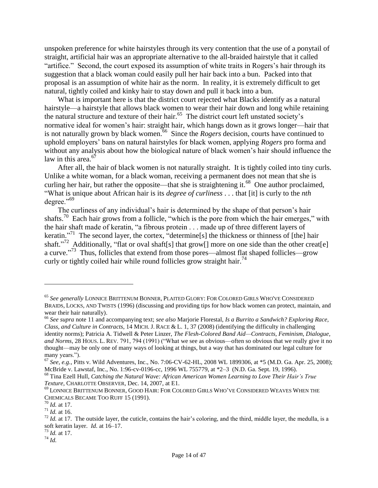unspoken preference for white hairstyles through its very contention that the use of a ponytail of straight, artificial hair was an appropriate alternative to the all-braided hairstyle that it called "artifice." Second, the court exposed its assumption of white traits in Rogers's hair through its suggestion that a black woman could easily pull her hair back into a bun. Packed into that proposal is an assumption of white hair as the norm. In reality, it is extremely difficult to get natural, tightly coiled and kinky hair to stay down and pull it back into a bun.

<span id="page-15-1"></span>What is important here is that the district court rejected what Blacks identify as a natural hairstyle—a hairstyle that allows black women to wear their hair down and long while retaining the natural structure and texture of their hair.<sup>65</sup> The district court left unstated society's normative ideal for women's hair: straight hair, which hangs down as it grows longer—hair that is not naturally grown by black women.<sup>66</sup> Since the *Rogers* decision, courts have continued to uphold employers' bans on natural hairstyles for black women, applying *Rogers* pro forma and without any analysis about how the biological nature of black women's hair should influence the law in this area. $67$ 

<span id="page-15-0"></span>After all, the hair of black women is not naturally straight. It is tightly coiled into tiny curls. Unlike a white woman, for a black woman, receiving a permanent does not mean that she is curling her hair, but rather the opposite—that she is straightening it.<sup>68</sup> One author proclaimed, ―What is unique about African hair is its *degree of curliness* . . . that [it] is curly to the *nth* degree."<sup>69</sup>

The curliness of any individual's hair is determined by the shape of that person's hair shafts.<sup>70</sup> Each hair grows from a follicle, "which is the pore from which the hair emerges," with the hair shaft made of keratin, "a fibrous protein . . . made up of three different layers of keratin."<sup>71</sup> The second layer, the cortex, "determine[s] the thickness or thinness of [the] hair shaft."<sup>72</sup> Additionally, "flat or oval shaft[s] that grow[] more on one side than the other creat[e] a curve."<sup>73</sup> Thus, follicles that extend from those pores—almost flat shaped follicles—grow curly or tightly coiled hair while round follicles grow straight hair.<sup>74</sup>

<sup>65</sup> *See generally* LONNICE BRITTENUM BONNER, PLAITED GLORY: FOR COLORED GIRLS WHO'VE CONSIDERED BRAIDS, LOCKS, AND TWISTS (1996) (discussing and providing tips for how black women can protect, maintain, and wear their hair naturally).

<sup>66</sup> *See supra* note [11](#page-5-1) and accompanying text; *see also* Marjorie Florestal, *Is a Burrito a Sandwich? Exploring Race, Class, and Culture in Contracts*, 14 MICH. J. RACE & L. 1, 37 (2008) (identifying the difficulty in challenging identity norms); Patricia A. Tidwell & Peter Linzer, *The Flesh-Colored Band Aid—Contracts, Feminism, Dialogue, and Norms*, 28 HOUS. L. REV. 791, 794 (1991) ("What we see as obvious—often so obvious that we really give it no thought—may be only one of many ways of looking at things, but a way that has dominated our legal culture for many years.").

<sup>67</sup> *See, e.g.*, Pitts v. Wild Adventures, Inc., No. 7:06-CV-62-HL, 2008 WL 1899306, at \*5 (M.D. Ga. Apr. 25, 2008); McBride v. Lawstaf, Inc., No. 1:96-cv-0196-cc, 1996 WL 755779, at \*2–3 (N.D. Ga. Sept. 19, 1996).

<sup>68</sup> Tina Ezell Hull, *Catching the Natural Wave: African American Women Learning to Love Their Hair"s True Texture*, CHARLOTTE OBSERVER, Dec. 14, 2007, at E1.

<sup>69</sup> LONNICE BRITTENUM BONNER, GOOD HAIR: FOR COLORED GIRLS WHO'VE CONSIDERED WEAVES WHEN THE CHEMICALS BECAME TOO RUFF 15 (1991).

<sup>70</sup> *Id.* at 17.

<sup>71</sup> *Id.* at 16.

 $^{72}$  *Id.* at 17. The outside layer, the cuticle, contains the hair's coloring, and the third, middle layer, the medulla, is a soft keratin layer. *Id.* at 16–17.

<sup>73</sup> *Id.* at 17.

<sup>74</sup> *Id.*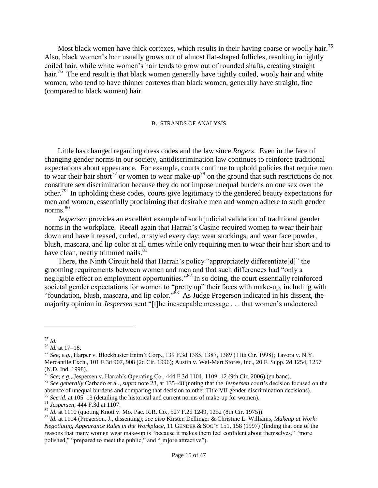Most black women have thick cortexes, which results in their having coarse or woolly hair.<sup>75</sup> Also, black women's hair usually grows out of almost flat-shaped follicles, resulting in tightly coiled hair, while white women's hair tends to grow out of rounded shafts, creating straight hair.<sup>76</sup> The end result is that black women generally have tightly coiled, wooly hair and white women, who tend to have thinner cortexes than black women, generally have straight, fine (compared to black women) hair.

#### <span id="page-16-1"></span><span id="page-16-0"></span>B. STRANDS OF ANALYSIS

Little has changed regarding dress codes and the law since *Rogers*. Even in the face of changing gender norms in our society, antidiscrimination law continues to reinforce traditional expectations about appearance. For example, courts continue to uphold policies that require men to wear their hair short<sup>77</sup> or women to wear make-up<sup>78</sup> on the ground that such restrictions do not constitute sex discrimination because they do not impose unequal burdens on one sex over the other.<sup>79</sup> In upholding these codes, courts give legitimacy to the gendered beauty expectations for men and women, essentially proclaiming that desirable men and women adhere to such gender norms. 80

*Jespersen* provides an excellent example of such judicial validation of traditional gender norms in the workplace. Recall again that Harrah's Casino required women to wear their hair down and have it teased, curled, or styled every day; wear stockings; and wear face powder, blush, mascara, and lip color at all times while only requiring men to wear their hair short and to have clean, neatly trimmed nails.<sup>81</sup>

There, the Ninth Circuit held that Harrah's policy "appropriately differentiate<sup>[d]"</sup> the grooming requirements between women and men and that such differences had "only a negligible effect on employment opportunities."<sup>82</sup> In so doing, the court essentially reinforced societal gender expectations for women to "pretty up" their faces with make-up, including with "foundation, blush, mascara, and lip color."<sup>83</sup> As Judge Pregerson indicated in his dissent, the majority opinion in *Jespersen* sent "[t]he inescapable message . . . that women's undoctored

<sup>75</sup> *Id.*

<sup>76</sup> *Id.* at 17–18.

<sup>77</sup> *See, e.g.*, Harper v. Blockbuster Entm't Corp., 139 F.3d 1385, 1387, 1389 (11th Cir. 1998); Tavora v. N.Y. Mercantile Exch., 101 F.3d 907, 908 (2d Cir. 1996); Austin v. Wal-Mart Stores, Inc., 20 F. Supp. 2d 1254, 1257 (N.D. Ind. 1998).

<sup>78</sup> *See, e.g.*, Jespersen v. Harrah's Operating Co., 444 F.3d 1104, 1109–12 (9th Cir. 2006) (en banc).

<sup>79</sup> *See generally* Carbado et al., *supra* note [23,](#page-7-0) at 135–48 (noting that the *Jespersen* court's decision focused on the absence of unequal burdens and comparing that decision to other Title VII gender discrimination decisions). <sup>80</sup> *See id.* at 105–13 (detailing the historical and current norms of make-up for women).

<sup>81</sup> *Jespersen*, 444 F.3d at 1107.

<sup>&</sup>lt;sup>82</sup> *Id.* at 1110 (quoting Knott v. Mo. Pac. R.R. Co., 527 F.2d 1249, 1252 (8th Cir. 1975)).

<sup>83</sup> *Id.* at 1114 (Pregerson, J., dissenting); *see also* Kirsten Dellinger & Christine L. Williams, *Makeup at Work: Negotiating Appearance Rules in the Workplace*, 11 GENDER & SOC'Y 151, 158 (1997) (finding that one of the reasons that many women wear make-up is "because it makes them feel confident about themselves," "more polished," "prepared to meet the public," and "[m]ore attractive").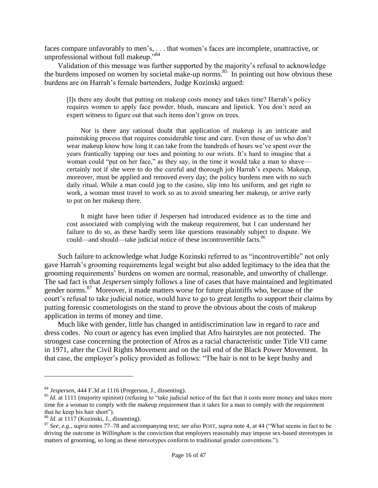faces compare unfavorably to men's, . . . that women's faces are incomplete, unattractive, or unprofessional without full makeup. $^{384}$ 

Validation of this message was further supported by the majority's refusal to acknowledge the burdens imposed on women by societal make-up norms.<sup>85</sup> In pointing out how obvious these burdens are on Harrah's female bartenders, Judge Kozinski argued:

[I]s there any doubt that putting on makeup costs money and takes time? Harrah's policy requires women to apply face powder, blush, mascara and lipstick. You don't need an expert witness to figure out that such items don't grow on trees.

Nor is there any rational doubt that application of makeup is an intricate and painstaking process that requires considerable time and care. Even those of us who don't wear makeup know how long it can take from the hundreds of hours we've spent over the years frantically tapping our toes and pointing to our wrists. It's hard to imagine that a woman could "put on her face," as they say, in the time it would take a man to shave certainly not if she were to do the careful and thorough job Harrah's expects. Makeup, moreover, must be applied and removed every day; the policy burdens men with no such daily ritual. While a man could jog to the casino, slip into his uniform, and get right to work, a woman must travel to work so as to avoid smearing her makeup, or arrive early to put on her makeup there.

It might have been tidier if Jespersen had introduced evidence as to the time and cost associated with complying with the makeup requirement, but I can understand her failure to do so, as these hardly seem like questions reasonably subject to dispute. We could—and should—take judicial notice of these incontrovertible facts.<sup>86</sup>

Such failure to acknowledge what Judge Kozinski referred to as "incontrovertible" not only gave Harrah's grooming requirements legal weight but also added legitimacy to the idea that the grooming requirements' burdens on women are normal, reasonable, and unworthy of challenge. The sad fact is that *Jespersen* simply follows a line of cases that have maintained and legitimated gender norms.<sup>87</sup> Moreover, it made matters worse for future plaintiffs who, because of the court's refusal to take judicial notice, would have to go to great lengths to support their claims by putting forensic cosmetologists on the stand to prove the obvious about the costs of makeup application in terms of money and time.

Much like with gender, little has changed in antidiscrimination law in regard to race and dress codes. No court or agency has even implied that Afro hairstyles are not protected. The strongest case concerning the protection of Afros as a racial characteristic under Title VII came in 1971, after the Civil Rights Movement and on the tail end of the Black Power Movement. In that case, the employer's policy provided as follows: "The hair is not to be kept bushy and

<sup>84</sup> *Jespersen*, 444 F.3d at 1116 (Pregerson, J., dissenting).

<sup>&</sup>lt;sup>85</sup> *Id.* at 1111 (majority opinion) (refusing to "take judicial notice of the fact that it costs more money and takes more time for a woman to comply with the makeup requirement than it takes for a man to comply with the requirement that he keep his hair short").

<sup>86</sup> *Id.* at 1117 (Kozinski, J., dissenting).

<sup>&</sup>lt;sup>87</sup> See, e.g., *supra* notes [77](#page-16-0)[–78](#page-16-1) and accompanying text; *see also* POST, *supra* note [4,](#page-3-1) at 44 ("What seems in fact to be driving the outcome in *Willingham* is the conviction that employers reasonably may impose sex-based stereotypes in matters of grooming, so long as these stereotypes conform to traditional gender conventions.").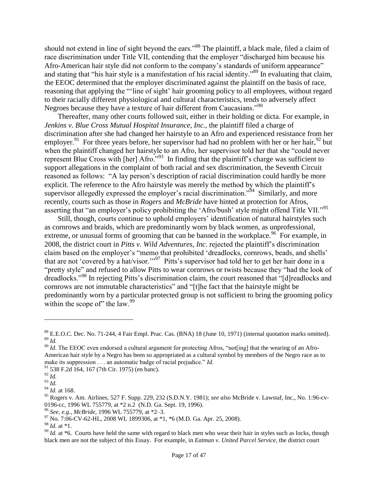should not extend in line of sight beyond the ears.<sup>88</sup> The plaintiff, a black male, filed a claim of race discrimination under Title VII, contending that the employer "discharged him because his Afro-American hair style did not conform to the company's standards of uniform appearance" and stating that "his hair style is a manifestation of his racial identity."<sup>89</sup> In evaluating that claim, the EEOC determined that the employer discriminated against the plaintiff on the basis of race, reasoning that applying the "'line of sight' hair grooming policy to all employees, without regard to their racially different physiological and cultural characteristics, tends to adversely affect Negroes because they have a texture of hair different from Caucasians."<sup>90</sup>

Thereafter, many other courts followed suit, either in their holding or dicta. For example, in *Jenkins v. Blue Cross Mutual Hospital Insurance, Inc.*, the plaintiff filed a charge of discrimination after she had changed her hairstyle to an Afro and experienced resistance from her employer.<sup>91</sup> For three years before, her supervisor had had no problem with her or her hair,<sup>92</sup> but when the plaintiff changed her hairstyle to an Afro, her supervisor told her that she "could never" represent Blue Cross with  $[her]$  Afro.<sup>93</sup> In finding that the plaintiff's charge was sufficient to support allegations in the complaint of both racial and sex discrimination, the Seventh Circuit reasoned as follows: "A lay person's description of racial discrimination could hardly be more explicit. The reference to the Afro hairstyle was merely the method by which the plaintiff's supervisor allegedly expressed the employer's racial discrimination."<sup>54</sup> Similarly, and more recently, courts such as those in *Rogers* and *McBride* have hinted at protection for Afros, asserting that "an employer's policy prohibiting the 'Afro/bush' style might offend Title VII."95

Still, though, courts continue to uphold employers' identification of natural hairstyles such as cornrows and braids, which are predominantly worn by black women, as unprofessional, extreme, or unusual forms of grooming that can be banned in the workplace.<sup>96</sup> For example, in 2008, the district court in *Pitts v. Wild Adventures, Inc.* rejected the plaintiff's discrimination claim based on the employer's "memo that prohibited 'dreadlocks, cornrows, beads, and shells' that are not 'covered by a hat/visor.'"<sup>97</sup> Pitts's supervisor had told her to get her hair done in a "pretty style" and refused to allow Pitts to wear cornrows or twists because they "had the look of dreadlocks."<sup>98</sup> In rejecting Pitts's discrimination claim, the court reasoned that "[d]readlocks and cornrows are not immutable characteristics" and "[t]he fact that the hairstyle might be predominantly worn by a particular protected group is not sufficient to bring the grooming policy within the scope of" the law.  $99$ 

<sup>88</sup> E.E.O.C. Dec. No. 71-244, 4 Fair Empl. Prac. Cas. (BNA) 18 (June 10, 1971) (internal quotation marks omitted). <sup>89</sup> *Id.*

<sup>&</sup>lt;sup>90</sup> *Id*. The EEOC even endorsed a cultural argument for protecting Afros, "not[ing] that the wearing of an Afro-American hair style by a Negro has been so appropriated as a cultural symbol by members of the Negro race as to make its suppression . . . an automatic badge of racial prejudice." *Id.* 

<sup>91</sup> 538 F.2d 164, 167 (7th Cir. 1975) (en banc).

<sup>92</sup> *Id.*

<sup>93</sup> *Id.*

<sup>94</sup> *Id.* at 168.

<sup>95</sup> Rogers v. Am. Airlines, 527 F. Supp. 229, 232 (S.D.N.Y. 1981); *see also* McBride v. Lawstaf, Inc., No. 1:96-cv-0196-cc, 1996 WL 755779, at \*2 n.2 (N.D. Ga. Sept. 19, 1996).

<sup>96</sup> *See, e.g.*, *McBride*, 1996 WL 755779, at \*2–3.

 $97$  No. 7:06-CV-62-HL, 2008 WL 1899306, at  $*1$ ,  $*6$  (M.D. Ga. Apr. 25, 2008).

<sup>98</sup> *Id.* at \*1.

<sup>&</sup>lt;sup>99</sup> *Id.* at \*6. Courts have held the same with regard to black men who wear their hair in styles such as locks, though black men are not the subject of this Essay. For example, in *Eatman v. United Parcel Service*, the district court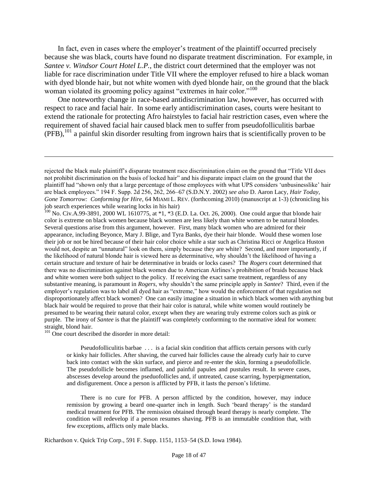In fact, even in cases where the employer's treatment of the plaintiff occurred precisely because she was black, courts have found no disparate treatment discrimination. For example, in *Santee v. Windsor Court Hotel L.P.*, the district court determined that the employer was not liable for race discrimination under Title VII where the employer refused to hire a black woman with dyed blonde hair, but not white women with dyed blonde hair, on the ground that the black woman violated its grooming policy against "extremes in hair color."<sup>100</sup>

One noteworthy change in race-based antidiscrimination law, however, has occurred with respect to race and facial hair. In some early antidiscrimination cases, courts were hesitant to extend the rationale for protecting Afro hairstyles to facial hair restriction cases, even where the requirement of shaved facial hair caused black men to suffer from pseudofolliculitis barbae  $(PFB)$ ,<sup>101</sup> a painful skin disorder resulting from ingrown hairs that is scientifically proven to be

<sup>100</sup> No. Civ.A.99-3891, 2000 WL 1610775, at  $*1$ ,  $*3$  (E.D. La. Oct. 26, 2000). One could argue that blonde hair color is extreme on black women because black women are less likely than white women to be natural blondes. Several questions arise from this argument, however. First, many black women who are admired for their appearance, including Beyonce, Mary J. Blige, and Tyra Banks, dye their hair blonde. Would these women lose their job or not be hired because of their hair color choice while a star such as Christina Ricci or Angelica Huston would not, despite an "unnatural" look on them, simply because they are white? Second, and more importantly, if the likelihood of natural blonde hair is viewed here as determinative, why shouldn't the likelihood of having a certain structure and texture of hair be determinative in braids or locks cases? The *Rogers* court determined that there was no discrimination against black women due to American Airlines's prohibition of braids because black and white women were both subject to the policy. If receiving the exact same treatment, regardless of any substantive meaning, is paramount in *Rogers*, why shouldn't the same principle apply in *Santee*? Third, even if the employer's regulation was to label all dyed hair as "extreme," how would the enforcement of that regulation not disproportionately affect black women? One can easily imagine a situation in which black women with anything but black hair would be required to prove that their hair color is natural, while white women would routinely be presumed to be wearing their natural color, except when they are wearing truly extreme colors such as pink or purple. The irony of *Santee* is that the plaintiff was completely conforming to the normative ideal for women: straight, blond hair.

 $101$  One court described the disorder in more detail:

 $\overline{\phantom{a}}$ 

Pseudofolliculitis barbae . . . is a facial skin condition that afflicts certain persons with curly or kinky hair follicles. After shaving, the curved hair follicles cause the already curly hair to curve back into contact with the skin surface, and pierce and re-enter the skin, forming a pseudofollicle. The pseudofollicle becomes inflamed, and painful papules and pustules result. In severe cases, abscesses develop around the pseduofollicles and, if untreated, cause scarring, hyperpigmentation, and disfigurement. Once a person is afflicted by PFB, it lasts the person's lifetime.

There is no cure for PFB. A person afflicted by the condition, however, may induce remission by growing a beard one-quarter inch in length. Such 'beard therapy' is the standard medical treatment for PFB. The remission obtained through beard therapy is nearly complete. The condition will redevelop if a person resumes shaving. PFB is an immutable condition that, with few exceptions, afflicts only male blacks.

Richardson v. Quick Trip Corp., 591 F. Supp. 1151, 1153–54 (S.D. Iowa 1984).

rejected the black male plaintiff's disparate treatment race discrimination claim on the ground that "Title VII does" not prohibit discrimination on the basis of locked hair" and his disparate impact claim on the ground that the plaintiff had "shown only that a large percentage of those employees with what UPS considers 'unbusinesslike' hair are black employees.‖ 194 F. Supp. 2d 256, 262, 266–67 (S.D.N.Y. 2002) *see also* D. Aaron Lacy, *Hair Today, Gone Tomorrow: Conforming for Hire*, 64 MIAMI L. REV. (forthcoming 2010) (manuscript at 1-3) (chronicling his job search experiences while wearing locks in his hair)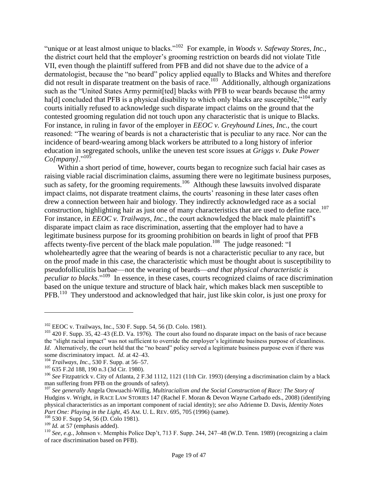"unique or at least almost unique to blacks."<sup>102</sup> For example, in *Woods v. Safeway Stores, Inc.*, the district court held that the employer's grooming restriction on beards did not violate Title VII, even though the plaintiff suffered from PFB and did not shave due to the advice of a dermatologist, because the "no beard" policy applied equally to Blacks and Whites and therefore did not result in disparate treatment on the basis of race.<sup>103</sup> Additionally, although organizations such as the "United States Army permit [ted] blacks with PFB to wear beards because the army ha[d] concluded that PFB is a physical disability to which only blacks are susceptible,<sup> $104$ </sup> early courts initially refused to acknowledge such disparate impact claims on the ground that the contested grooming regulation did not touch upon any characteristic that is unique to Blacks. For instance, in ruling in favor of the employer in *EEOC v. Greyhound Lines, Inc.*, the court reasoned: "The wearing of beards is not a characteristic that is peculiar to any race. Nor can the incidence of beard-wearing among black workers be attributed to a long history of inferior education in segregated schools, unlike the uneven test score issues at *Griggs v. Duke Power*   $Co[mpanv]$ ."<sup>105</sup>

<span id="page-20-0"></span>Within a short period of time, however, courts began to recognize such facial hair cases as raising viable racial discrimination claims, assuming there were no legitimate business purposes, such as safety, for the grooming requirements.<sup>106</sup> Although these lawsuits involved disparate impact claims, not disparate treatment claims, the courts' reasoning in these later cases often drew a connection between hair and biology. They indirectly acknowledged race as a social construction, highlighting hair as just one of many characteristics that are used to define race.<sup>107</sup> For instance, in *EEOC v. Trailways, Inc.*, the court acknowledged the black male plaintiff's disparate impact claim as race discrimination, asserting that the employer had to have a legitimate business purpose for its grooming prohibition on beards in light of proof that PFB affects twenty-five percent of the black male population.<sup>108</sup> The judge reasoned: "I wholeheartedly agree that the wearing of beards is not a characteristic peculiar to any race, but on the proof made in this case, the characteristic which must be thought about is susceptibility to pseudofolliculitis barbae—not the wearing of beards—*and that physical characteristic is peculiar to blacks*."<sup>109</sup> In essence, in these cases, courts recognized claims of race discrimination based on the unique texture and structure of black hair, which makes black men susceptible to PFB.<sup>110</sup> They understood and acknowledged that hair, just like skin color, is just one proxy for

l

 $102$  EEOC v. Trailways, Inc., 530 F. Supp. 54, 56 (D. Colo. 1981).

<sup>&</sup>lt;sup>103</sup> 420 F. Supp. 35, 42–43 (E.D. Va. 1976). The court also found no disparate impact on the basis of race because the "slight racial impact" was not sufficient to override the employer's legitimate business purpose of cleanliness. *Id.* Alternatively, the court held that the "no beard" policy served a legitimate business purpose even if there was some discriminatory impact. *Id.* at 42–43.

<sup>104</sup> *Trailways, Inc.*, 530 F. Supp. at 56–57.

<sup>105</sup> 635 F.2d 188, 190 n.3 (3d Cir. 1980).

<sup>&</sup>lt;sup>106</sup> See Fitzpatrick v. City of Atlanta, 2 F.3d 1112, 1121 (11th Cir. 1993) (denying a discrimination claim by a black man suffering from PFB on the grounds of safety).

<sup>107</sup> *See generally* Angela Onwuachi-Willig, *Multiracialism and the Social Construction of Race: The Story of*  Hudgins v. Wright, *in* RACE LAW STORIES 147 (Rachel F. Moran & Devon Wayne Carbado eds., 2008) (identifying physical characteristics as an important component of racial identity); *see also* Adrienne D. Davis, *Identity Notes Part One: Playing in the Light*, 45 AM. U. L. REV. 695, 705 (1996) (same).

<sup>&</sup>lt;sup>108</sup> 530 F. Supp 54, 56 (D. Colo 1981).

<sup>109</sup> *Id.* at 57 (emphasis added).

<sup>110</sup> *See, e.g.*, Johnson v. Memphis Police Dep't, 713 F. Supp. 244, 247–48 (W.D. Tenn. 1989) (recognizing a claim of race discrimination based on PFB).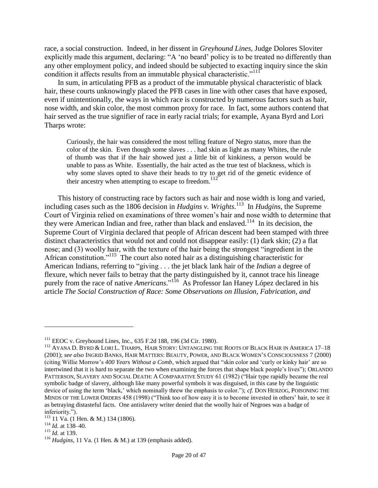race, a social construction. Indeed, in her dissent in *Greyhound Lines*, Judge Dolores Sloviter explicitly made this argument, declaring: "A 'no beard' policy is to be treated no differently than any other employment policy, and indeed should be subjected to exacting inquiry since the skin condition it affects results from an immutable physical characteristic."<sup>111</sup>

In sum, in articulating PFB as a product of the immutable physical characteristic of black hair, these courts unknowingly placed the PFB cases in line with other cases that have exposed, even if unintentionally, the ways in which race is constructed by numerous factors such as hair, nose width, and skin color, the most common proxy for race. In fact, some authors contend that hair served as the true signifier of race in early racial trials; for example, Ayana Byrd and Lori Tharps wrote:

<span id="page-21-1"></span>Curiously, the hair was considered the most telling feature of Negro status, more than the color of the skin. Even though some slaves . . . had skin as light as many Whites, the rule of thumb was that if the hair showed just a little bit of kinkiness, a person would be unable to pass as White. Essentially, the hair acted as the true test of blackness, which is why some slaves opted to shave their heads to try to get rid of the genetic evidence of their ancestry when attempting to escape to freedom.<sup>112</sup>

<span id="page-21-0"></span>This history of constructing race by factors such as hair and nose width is long and varied, including cases such as the 1806 decision in *Hudgins v. Wrights*.<sup>113</sup> In *Hudgins*, the Supreme Court of Virginia relied on examinations of three women's hair and nose width to determine that they were American Indian and free, rather than black and enslaved.<sup>114</sup> In its decision, the Supreme Court of Virginia declared that people of African descent had been stamped with three distinct characteristics that would not and could not disappear easily: (1) dark skin; (2) a flat nose; and  $(3)$  woolly hair, with the texture of the hair being the strongest "ingredient in the African constitution."<sup>115</sup> The court also noted hair as a distinguishing characteristic for American Indians, referring to "giving . . . the jet black lank hair of the *Indian* a degree of flexure, which never fails to betray that the party distinguished by it, cannot trace his lineage purely from the race of native *Americans*."<sup>116</sup> As Professor Ian Haney López declared in his article *The Social Construction of Race: Some Observations on Illusion, Fabrication, and* 

<sup>111</sup> EEOC v. Greyhound Lines, Inc., 635 F.2d 188, 196 (3d Cir. 1980).

<sup>112</sup> AYANA D. BYRD & LORI L. THARPS, HAIR STORY: UNTANGLING THE ROOTS OF BLACK HAIR IN AMERICA 17–18 (2001); *see also* INGRID BANKS, HAIR MATTERS: BEAUTY, POWER, AND BLACK WOMEN'S CONSCIOUSNESS 7 (2000) (citing Willie Morrow's 400 Years Without a Comb, which argued that "skin color and 'curly or kinky hair' are so intertwined that it is hard to separate the two when examining the forces that shape black people's lives"); ORLANDO PATTERSON, SLAVERY AND SOCIAL DEATH: A COMPARATIVE STUDY 61 (1982) ("Hair type rapidly became the real symbolic badge of slavery, although like many powerful symbols it was disguised, in this case by the linguistic device of using the term 'black,' which nominally threw the emphasis to color."); *cf.* DON HERZOG, POISONING THE MINDS OF THE LOWER ORDERS 458 (1998) ("Think too of how easy it is to become invested in others' hair, to see it as betraying distasteful facts. One antislavery writer denied that the woolly hair of Negroes was a badge of inferiority.").

 $113$  11 Va. (1 Hen. & M.) 134 (1806).

 $^{11}$   $^{11}$   $^{11}$   $^{11}$   $^{11}$   $^{11}$   $^{11}$   $^{11}$   $^{11}$   $^{11}$   $^{11}$   $^{11}$   $^{11}$   $^{11}$   $^{11}$   $^{11}$   $^{11}$   $^{11}$   $^{11}$   $^{11}$   $^{11}$   $^{11}$   $^{11}$   $^{11}$   $^{11}$   $^{11}$   $^{11}$   $^{11}$   $^{11}$   $^{11}$   $^{11}$   $^{11$ 

<sup>115</sup> *Id.* at 139.

<sup>116</sup> *Hudgins*, 11 Va. (1 Hen. & M.) at 139 (emphasis added).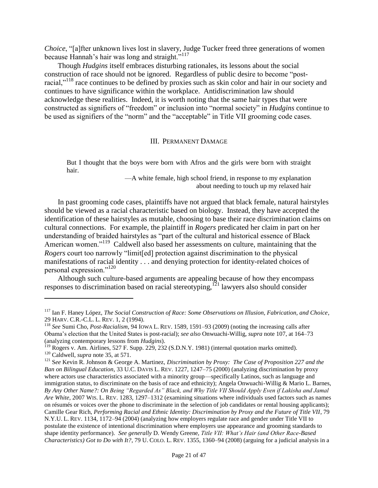*Choice*, "[a]fter unknown lives lost in slavery, Judge Tucker freed three generations of women because Hannah's hair was long and straight."<sup>117</sup>

Though *Hudgins* itself embraces disturbing rationales, its lessons about the social construction of race should not be ignored. Regardless of public desire to become "postracial,"<sup>118</sup> race continues to be defined by proxies such as skin color and hair in our society and continues to have significance within the workplace. Antidiscrimination law should acknowledge these realities. Indeed, it is worth noting that the same hair types that were constructed as signifiers of "freedom" or inclusion into "normal society" in *Hudgins* continue to be used as signifiers of the "norm" and the "acceptable" in Title VII grooming code cases.

## <span id="page-22-0"></span>III. PERMANENT DAMAGE

But I thought that the boys were born with Afros and the girls were born with straight hair.

—A white female, high school friend, in response to my explanation about needing to touch up my relaxed hair

In past grooming code cases, plaintiffs have not argued that black female, natural hairstyles should be viewed as a racial characteristic based on biology. Instead, they have accepted the identification of these hairstyles as mutable, choosing to base their race discrimination claims on cultural connections. For example, the plaintiff in *Rogers* predicated her claim in part on her understanding of braided hairstyles as "part of the cultural and historical essence of Black American women."<sup>119</sup> Caldwell also based her assessments on culture, maintaining that the *Rogers* court too narrowly "limit[ed] protection against discrimination to the physical manifestations of racial identity . . . and denying protection for identity-related choices of personal expression."<sup>120</sup>

Although such culture-based arguments are appealing because of how they encompass responses to discrimination based on racial stereotyping,<sup>121</sup> lawyers also should consider

<sup>117</sup> Ian F. Haney López, *The Social Construction of Race: Some Observations on Illusion, Fabrication, and Choice*, 29 HARV. C.R.-C.L. L. REV. 1, 2 (1994).

<sup>&</sup>lt;sup>118</sup> *See Sumi Cho, Post-Racialism*, 94 IOWA L. REV. 1589, 1591–93 (2009) (noting the increasing calls after Obama's election that the United States is post-racial); *see also* Onwuachi-Willig, *supra* not[e 107,](#page-20-0) at 164–73 (analyzing contemporary lessons from *Hudgins*).

<sup>&</sup>lt;sup>119</sup> Rogers v. Am. Airlines, 527 F. Supp. 229, 232 (S.D.N.Y. 1981) (internal quotation marks omitted).

<sup>120</sup> Caldwell, *supra* note [35,](#page-10-0) at 571.

<sup>121</sup> S*ee* Kevin R. Johnson & George A. Martinez, *Discrimination by Proxy: The Case of Proposition 227 and the Ban on Bilingual Education*, 33 U.C. DAVIS L. REV. 1227, 1247–75 (2000) (analyzing discrimination by proxy where actors use characteristics associated with a minority group—specifically Latinos, such as language and immigration status, to discriminate on the basis of race and ethnicity); Angela Onwuachi-Willig & Mario L. Barnes, *By Any Other Name?: On Being "Regarded As" Black, and Why Title VII Should Apply Even if Lakisha and Jamal Are White*, 2007 WIS. L. REV. 1283, 1297–1312 (examining situations where individuals used factors such as names on résumés or voices over the phone to discriminate in the selection of job candidates or rental housing applicants); Camille Gear Rich, *Performing Racial and Ethnic Identity: Discrimination by Proxy and the Future of Title VII*, 79 N.Y.U. L. REV. 1134, 1172–94 (2004) (analyzing how employers regulate race and gender under Title VII to postulate the existence of intentional discrimination where employers use appearance and grooming standards to shape identity performance). *See generally* D. Wendy Greene, *Title VII: What"s Hair (and Other Race-Based Characteristics) Got to Do with It?*, 79 U. COLO. L. REV. 1355, 1360–94 (2008) (arguing for a judicial analysis in a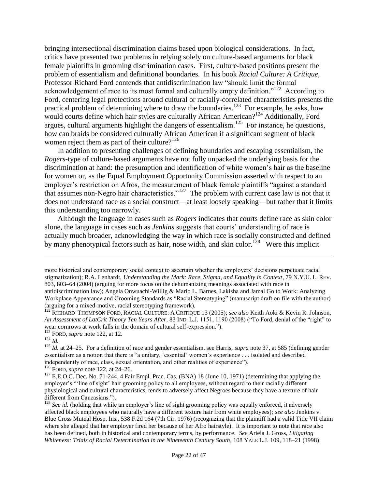<span id="page-23-0"></span>bringing intersectional discrimination claims based upon biological considerations. In fact, critics have presented two problems in relying solely on culture-based arguments for black female plaintiffs in grooming discrimination cases. First, culture-based positions present the problem of essentialism and definitional boundaries. In his book *Racial Culture: A Critique*, Professor Richard Ford contends that antidiscrimination law "should limit the formal acknowledgement of race to its most formal and culturally empty definition."<sup>122</sup> According to Ford, centering legal protections around cultural or racially-correlated characteristics presents the practical problem of determining where to draw the boundaries.<sup>123</sup> For example, he asks, how would courts define which hair styles are culturally African American?<sup>124</sup> Additionally, Ford argues, cultural arguments highlight the dangers of essentialism.<sup>125</sup> For instance, he questions, how can braids be considered culturally African American if a significant segment of black women reject them as part of their culture? $126$ 

In addition to presenting challenges of defining boundaries and escaping essentialism, the *Rogers*-type of culture-based arguments have not fully unpacked the underlying basis for the discrimination at hand: the presumption and identification of white women's hair as the baseline for women or, as the Equal Employment Opportunity Commission asserted with respect to an employer's restriction on Afros, the measurement of black female plaintiffs "against a standard that assumes non-Negro hair characteristics."<sup>127</sup> The problem with current case law is not that it does not understand race as a social construct—at least loosely speaking—but rather that it limits this understanding too narrowly.

Although the language in cases such as *Rogers* indicates that courts define race as skin color alone, the language in cases such as *Jenkins* suggests that courts' understanding of race is actually much broader, acknowledging the way in which race is socially constructed and defined by many phenotypical factors such as hair, nose width, and skin color.<sup>128</sup> Were this implicit

(arguing for a mixed-motive, racial stereotyping framework).

<sup>123</sup> FORD, *supra* note [122,](#page-23-0) at 12.

 $\overline{\phantom{a}}$ 

<sup>126</sup> FORD, *supra* not[e 122,](#page-23-0) at 24–26.

more historical and contemporary social context to ascertain whether the employers' decisions perpetuate racial stigmatization); R.A. Lenhardt, *Understanding the Mark: Race, Stigma, and Equality in Context*, 79 N.Y.U. L. REV. 803, 803–64 (2004) (arguing for more focus on the dehumanizing meanings associated with race in antidiscrimination law); Angela Onwuachi-Willig & Mario L. Barnes, Lakisha and Jamal Go to Work: Analyzing Workplace Appearance and Grooming Standards as "Racial Stereotyping" (manuscript draft on file with the author)

<sup>122</sup> RICHARD THOMPSON FORD, RACIAL CULTURE: A CRITIQUE 13 (2005); *see also* Keith Aoki & Kevin R. Johnson, *An Assessment of LatCrit Theory Ten Years After*, 83 IND. L.J. 1151, 1190 (2008) ("To Ford, denial of the "right" to wear cornrows at work falls in the domain of cultural self-expression.").

<sup>124</sup> *Id.*

<sup>125</sup> *Id.* at 24–25. For a definition of race and gender essentialism, see Harris, *supra* note [37,](#page-11-0) at 585 (defining gender essentialism as a notion that there is "a unitary, 'essential' women's experience . . . isolated and described independently of race, class, sexual orientation, and other realities of experience").

<sup>&</sup>lt;sup>127</sup> E.E.O.C. Dec. No. 71-244, 4 Fair Empl. Prac. Cas. (BNA) 18 (June 10, 1971) (determining that applying the employer's "'line of sight' hair grooming policy to all employees, without regard to their racially different physiological and cultural characteristics, tends to adversely affect Negroes because they have a texture of hair different from Caucasians.").

<sup>&</sup>lt;sup>128</sup> See id. (holding that while an employer's line of sight grooming policy was equally enforced, it adversely affected black employees who naturally have a different texture hair from white employees); *see also* Jenkins v. Blue Cross Mutual Hosp. Ins., 538 F.2d 164 (7th Cir. 1976) (recognizing that the plaintiff had a valid Title VII claim where she alleged that her employer fired her because of her Afro hairstyle). It is important to note that race also has been defined, both in historical and contemporary terms, by performance. *See* Ariela J. Gross, *Litigating Whiteness: Trials of Racial Determination in the Nineteenth Century South*, 108 YALE L.J. 109, 118–21 (1998)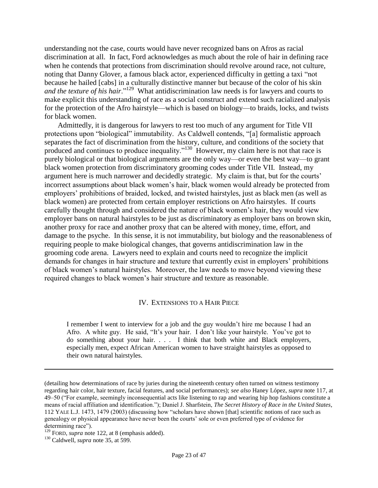understanding not the case, courts would have never recognized bans on Afros as racial discrimination at all. In fact, Ford acknowledges as much about the role of hair in defining race when he contends that protections from discrimination should revolve around race, not culture, noting that Danny Glover, a famous black actor, experienced difficulty in getting a taxi "not because he hailed [cabs] in a culturally distinctive manner but because of the color of his skin and the texture of his hair."<sup>129</sup> What antidiscrimination law needs is for lawyers and courts to make explicit this understanding of race as a social construct and extend such racialized analysis for the protection of the Afro hairstyle—which is based on biology—to braids, locks, and twists for black women.

Admittedly, it is dangerous for lawyers to rest too much of any argument for Title VII protections upon "biological" immutability. As Caldwell contends, "[a] formalistic approach separates the fact of discrimination from the history, culture, and conditions of the society that produced and continues to produce inequality."<sup>130</sup> However, my claim here is not that race is purely biological or that biological arguments are the only way—or even the best way—to grant black women protection from discriminatory grooming codes under Title VII. Instead, my argument here is much narrower and decidedly strategic. My claim is that, but for the courts' incorrect assumptions about black women's hair, black women would already be protected from employers' prohibitions of braided, locked, and twisted hairstyles, just as black men (as well as black women) are protected from certain employer restrictions on Afro hairstyles. If courts carefully thought through and considered the nature of black women's hair, they would view employer bans on natural hairstyles to be just as discriminatory as employer bans on brown skin, another proxy for race and another proxy that can be altered with money, time, effort, and damage to the psyche. In this sense, it is not immutability, but biology and the reasonableness of requiring people to make biological changes, that governs antidiscrimination law in the grooming code arena. Lawyers need to explain and courts need to recognize the implicit demands for changes in hair structure and texture that currently exist in employers' prohibitions of black women's natural hairstyles. Moreover, the law needs to move beyond viewing these required changes to black women's hair structure and texture as reasonable.

## IV. EXTENSIONS TO A HAIR PIECE

I remember I went to interview for a job and the guy wouldn't hire me because I had an Afro. A white guy. He said, "It's your hair. I don't like your hairstyle. You've got to do something about your hair. . . . I think that both white and Black employers, especially men, expect African American women to have straight hairstyles as opposed to their own natural hairstyles.

<sup>(</sup>detailing how determinations of race by juries during the nineteenth century often turned on witness testimony regarding hair color, hair texture, facial features, and social performances); *see also* Haney López, *supra* not[e 117,](#page-22-0) at 49–50 ("For example, seemingly inconsequential acts like listening to rap and wearing hip hop fashions constitute a means of racial affiliation and identification.‖); Daniel J. Sharfstein, *The Secret History of Race in the United States*, 112 YALE L.J. 1473, 1479 (2003) (discussing how "scholars have shown [that] scientific notions of race such as genealogy or physical appearance have never been the courts' sole or even preferred type of evidence for determining race").

<sup>&</sup>lt;sup>129</sup> FORD, *supra* not[e 122,](#page-23-0) at 8 (emphasis added).

<sup>130</sup> Caldwell, *supra* note [35,](#page-10-0) at 599.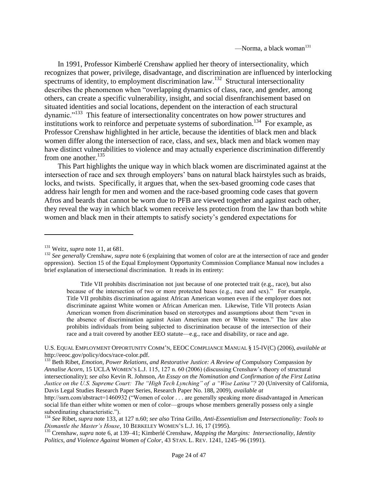$-Morma$ , a black woman<sup>131</sup>

<span id="page-25-0"></span>In 1991, Professor Kimberlé Crenshaw applied her theory of intersectionality, which recognizes that power, privilege, disadvantage, and discrimination are influenced by interlocking spectrums of identity, to employment discrimination law.<sup>132</sup> Structural intersectionality describes the phenomenon when "overlapping dynamics of class, race, and gender, among others, can create a specific vulnerability, insight, and social disenfranchisement based on situated identities and social locations, dependent on the interaction of each structural dynamic."<sup>133</sup> This feature of intersectionality concentrates on how power structures and institutions work to reinforce and perpetuate systems of subordination.<sup>134</sup> For example, as Professor Crenshaw highlighted in her article, because the identities of black men and black women differ along the intersection of race, class, and sex, black men and black women may have distinct vulnerabilities to violence and may actually experience discrimination differently from one another.<sup>135</sup>

This Part highlights the unique way in which black women are discriminated against at the intersection of race and sex through employers' bans on natural black hairstyles such as braids, locks, and twists. Specifically, it argues that, when the sex-based grooming code cases that address hair length for men and women and the race-based grooming code cases that govern Afros and beards that cannot be worn due to PFB are viewed together and against each other, they reveal the way in which black women receive less protection from the law than both white women and black men in their attempts to satisfy society's gendered expectations for

 $\overline{\phantom{a}}$ 

Title VII prohibits discrimination not just because of one protected trait (e.g., race), but also because of the intersection of two or more protected bases (e.g., race and sex)." For example, Title VII prohibits discrimination against African American women even if the employer does not discriminate against White women or African American men. Likewise, Title VII protects Asian American women from discrimination based on stereotypes and assumptions about them "even in the absence of discrimination against Asian American men or White women." The law also prohibits individuals from being subjected to discrimination because of the intersection of their race and a trait covered by another EEO statute—e.g., race and disability, or race and age.

<sup>131</sup> Weitz, *supra* note [11,](#page-5-1) at 681.

<sup>&</sup>lt;sup>132</sup> See generally Crenshaw, *supra* note [6](#page-4-1) (explaining that women of color are at the intersection of race and gender oppression). Section 15 of the Equal Employment Opportunity Commission Compliance Manual now includes a brief explanation of intersectional discrimination. It reads in its entirety:

U.S. EQUAL EMPLOYMENT OPPORTUNITY COMM'N, EEOC COMPLIANCE MANUAL § 15-IV(C) (2006), *available at* http://eeoc.gov/policy/docs/race-color.pdf.

<sup>133</sup> Beth Ribet, *Emotion, Power Relations, and Restorative Justice: A Review of* Compulsory Compassion *by Annalise Acorn*, 15 UCLA WOMEN'S L.J. 115, 127 n. 60 (2006) (discussing Crenshaw's theory of structural intersectionality); *see also* Kevin R. Johnson, *An Essay on the Nomination and Confirmation of the First Latina Justice on the U.S. Supreme Court: The "High Tech Lynching" of a "Wise Latina"?* 20 (University of California, Davis Legal Studies Research Paper Series, Research Paper No. 188, 2009), *available at*

http://ssrn.com/abstract=1460932 ("Women of color . . . are generally speaking more disadvantaged in American social life than either white women or men of color—groups whose members generally possess only a single subordinating characteristic.").

<sup>134</sup> *See* Ribet, *supra* note [133,](#page-25-0) at 127 n.60; *see also* Trina Grillo, *Anti-Essentialism and Intersectionality: Tools to Dismantle the Master"s House*, 10 BERKELEY WOMEN'S L.J. 16, 17 (1995).

<sup>135</sup> Crenshaw, *supra* note [6,](#page-4-1) at 139–41; Kimberlé Crenshaw, *Mapping the Margins: Intersectionality, Identity Politics, and Violence Against Women of Color*, 43 STAN. L. REV. 1241, 1245–96 (1991).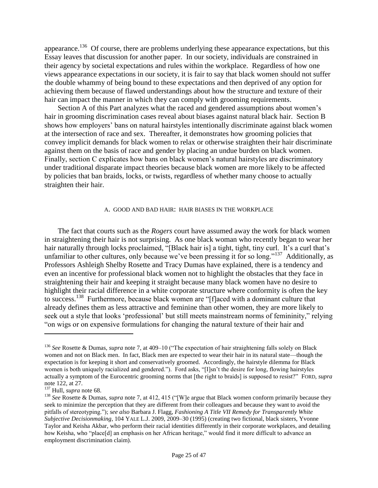appearance.<sup>136</sup> Of course, there are problems underlying these appearance expectations, but this Essay leaves that discussion for another paper. In our society, individuals are constrained in their agency by societal expectations and rules within the workplace. Regardless of how one views appearance expectations in our society, it is fair to say that black women should not suffer the double whammy of being bound to these expectations and then deprived of any option for achieving them because of flawed understandings about how the structure and texture of their hair can impact the manner in which they can comply with grooming requirements.

Section A of this Part analyzes what the raced and gendered assumptions about women's hair in grooming discrimination cases reveal about biases against natural black hair. Section B shows how employers' bans on natural hairstyles intentionally discriminate against black women at the intersection of race and sex. Thereafter, it demonstrates how grooming policies that convey implicit demands for black women to relax or otherwise straighten their hair discriminate against them on the basis of race and gender by placing an undue burden on black women. Finally, section C explicates how bans on black women's natural hairstyles are discriminatory under traditional disparate impact theories because black women are more likely to be affected by policies that ban braids, locks, or twists, regardless of whether many choose to actually straighten their hair.

#### A. GOOD AND BAD HAIR: HAIR BIASES IN THE WORKPLACE

The fact that courts such as the *Rogers* court have assumed away the work for black women in straightening their hair is not surprising. As one black woman who recently began to wear her hair naturally through locks proclaimed, "[Black hair is] a tight, tight, tiny curl. It's a curl that's unfamiliar to other cultures, only because we've been pressing it for so long."<sup>137</sup> Additionally, as Professors Ashleigh Shelby Rosette and Tracy Dumas have explained, there is a tendency and even an incentive for professional black women not to highlight the obstacles that they face in straightening their hair and keeping it straight because many black women have no desire to highlight their racial difference in a white corporate structure where conformity is often the key to success.<sup>138</sup> Furthermore, because black women are "[f]aced with a dominant culture that already defines them as less attractive and feminine than other women, they are more likely to seek out a style that looks 'professional' but still meets mainstream norms of femininity," relying " on wigs or on expensive formulations for changing the natural texture of their hair and

<span id="page-26-0"></span><sup>&</sup>lt;sup>136</sup> *See* Rosette & Dumas, *supra* not[e 7,](#page-4-0) at 409–10 ("The expectation of hair straightening falls solely on Black women and not on Black men. In fact, Black men are expected to wear their hair in its natural state—though the expectation is for keeping it short and conservatively groomed. Accordingly, the hairstyle dilemma for Black women is both uniquely racialized and gendered."). Ford asks, "[I]sn't the desire for long, flowing hairstyles actually a symptom of the Eurocentric grooming norms that [the right to braids] is supposed to resist?" FORD, *supra* not[e 122,](#page-23-0) at 27.

<sup>137</sup> Hull, *supra* note [68.](#page-15-0)

<sup>&</sup>lt;sup>138</sup> See Rosette & Dumas, *supra* not[e 7,](#page-4-0) at 412, 415 ("[W]e argue that Black women conform primarily because they seek to minimize the perception that they are different from their colleagues and because they want to avoid the pitfalls of stereotyping.‖); *see also* Barbara J. Flagg, *Fashioning A Title VII Remedy for Transparently White Subjective Decisionmaking*, 104 YALE L.J. 2009, 2009–30 (1995) (creating two fictional, black sisters, Yvonne Taylor and Keisha Akbar, who perform their racial identities differently in their corporate workplaces, and detailing how Keisha, who "place[d] an emphasis on her African heritage," would find it more difficult to advance an employment discrimination claim).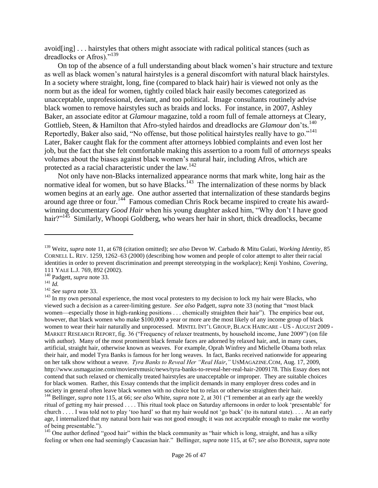avoid[ing] . . . hairstyles that others might associate with radical political stances (such as dreadlocks or Afros)."<sup>139</sup>

<span id="page-27-0"></span>On top of the absence of a full understanding about black women's hair structure and texture as well as black women's natural hairstyles is a general discomfort with natural black hairstyles. In a society where straight, long, fine (compared to black hair) hair is viewed not only as the norm but as the ideal for women, tightly coiled black hair easily becomes categorized as unacceptable, unprofessional, deviant, and too political. Image consultants routinely advise black women to remove hairstyles such as braids and locks. For instance, in 2007, Ashley Baker, an associate editor at *Glamour* magazine, told a room full of female attorneys at Cleary, Gottlieb, Steen, & Hamilton that Afro-styled hairdos and dreadlocks are *Glamour* don'ts.<sup>140</sup> Reportedly, Baker also said, "No offense, but those political hairstyles really have to go."<sup>141</sup> Later, Baker caught flak for the comment after attorneys lobbied complaints and even lost her job, but the fact that she felt comfortable making this assertion to a room full of *attorneys* speaks volumes about the biases against black women's natural hair, including Afros, which are protected as a racial characteristic under the law. $142$ 

Not only have non-Blacks internalized appearance norms that mark white, long hair as the normative ideal for women, but so have Blacks.<sup>143</sup> The internalization of these norms by black women begins at an early age. One author asserted that internalization of these standards begins around age three or four.<sup>144</sup> Famous comedian Chris Rock became inspired to create his awardwinning documentary *Good Hair* when his young daughter asked him, "Why don't I have good hair?"<sup>145</sup> Similarly, Whoopi Goldberg, who wears her hair in short, thick dreadlocks, became

<sup>139</sup> Weitz, *supra* note [11,](#page-5-1) at 678 (citation omitted); *see also* Devon W. Carbado & Mitu Gulati, *Working Identity*, 85 CORNELL L. REV. 1259, 1262–63 (2000) (describing how women and people of color attempt to alter their racial identities in order to prevent discrimination and preempt stereotyping in the workplace); Kenji Yoshino, *Covering*, 111 YALE L.J. 769, 892 (2002).

<sup>140</sup> Padgett, *supra* note [33.](#page-9-0)

<sup>141</sup> *Id.*

<sup>142</sup> *See supra* not[e 33.](#page-9-0)

<sup>&</sup>lt;sup>143</sup> In my own personal experience, the most vocal protesters to my decision to lock my hair were Blacks, who viewed such a decision as a career-limiting gesture. *See also* Padgett, *supra* not[e 33](#page-9-0) (noting that "most black women—especially those in high-ranking positions . . . chemically straighten their hair"). The empirics bear out, however, that black women who make \$100,000 a year or more are the most likely of any income group of black women to wear their hair naturally and unprocessed. MINTEL INT'L GROUP, BLACK HAIRCARE - US - AUGUST 2009 - MARKET RESEARCH REPORT, fig. 36 ("Frequency of relaxer treatments, by household income, June 2009") (on file with author). Many of the most prominent black female faces are adorned by relaxed hair, and, in many cases, artificial, straight hair, otherwise known as weaves. For example, Oprah Winfrey and Michelle Obama both relax their hair, and model Tyra Banks is famous for her long weaves. In fact, Banks received nationwide for appearing on her talk show without a weave. *Tyra Banks to Reveal Her "Real Hair*,*"* USMAGAZINE.COM, Aug. 17, 2009, http://www.usmagazine.com/moviestvmusic/news/tyra-banks-to-reveal-her-real-hair-2009178. This Essay does not contend that such relaxed or chemically treated hairstyles are unacceptable or improper. They are suitable choices for black women. Rather, this Essay contends that the implicit demands in many employer dress codes and in society in general often leave black women with no choice but to relax or otherwise straighten their hair.

<sup>&</sup>lt;sup>144</sup> Bellinger, *supra* note [115,](#page-21-0) at 66; *see also* White, *supra* note [2,](#page-3-3) at 301 ( $\degree$ I remember at an early age the weekly ritual of getting my hair pressed . . . . This ritual took place on Saturday afternoons in order to look ‗presentable' for church  $\dots$  I was told not to play 'too hard' so that my hair would not 'go back' (to its natural state).  $\dots$  At an early age, I internalized that my natural born hair was not good enough; it was not acceptable enough to make me worthy of being presentable.").

 $145$  One author defined "good hair" within the black community as "hair which is long, straight, and has a silky feeling or when one had seemingly Caucasian hair.‖ Bellinger, *supra* note [115,](#page-21-0) at 67; *see also* BONNER, *supra* note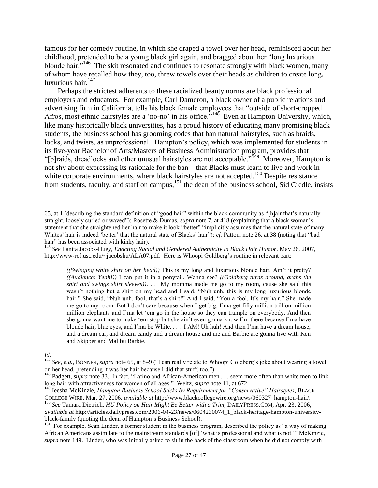famous for her comedy routine, in which she draped a towel over her head, reminisced about her childhood, pretended to be a young black girl again, and bragged about her "long luxurious" blonde hair."<sup>146</sup> The skit resonated and continues to resonate strongly with black women, many of whom have recalled how they, too, threw towels over their heads as children to create long, luxurious hair. $147$ 

Perhaps the strictest adherents to these racialized beauty norms are black professional employers and educators. For example, Carl Dameron, a black owner of a public relations and advertising firm in California, tells his black female employees that "outside of short-cropped Afros, most ethnic hairstyles are a 'no-no' in his office.<sup> $148$ </sup> Even at Hampton University, which, like many historically black universities, has a proud history of educating many promising black students, the business school has grooming codes that ban natural hairstyles, such as braids, locks, and twists, as unprofessional. Hampton's policy, which was implemented for students in its five-year Bachelor of Arts/Masters of Business Administration program, provides that "[b]raids, dreadlocks and other unusual hairstyles are not acceptable."<sup>149</sup> Moreover, Hampton is not shy about expressing its rationale for the ban—that Blacks must learn to live and work in white corporate environments, where black hairstyles are not accepted.<sup>150</sup> Despite resistance from students, faculty, and staff on campus,<sup>151</sup> the dean of the business school, Sid Credle, insists

<sup>146</sup> *See* Lanita Jacobs-Huey, *Enacting Racial and Gendered Authenticity in Black Hair Humor*, May 26, 2007, http://www-rcf.usc.edu/~jacobshu/ALA07.pdf. Here is Whoopi Goldberg's routine in relevant part:

*((Swinging white shirt on her head))* This is my long and luxurious blonde hair. Ain't it pretty? *((Audience: Yeah!))* I can put it in a ponytail. Wanna see? *((Goldberg turns around, grabs the shirt and swings shirt sleeves))*. . . My momma made me go to my room, cause she said this wasn't nothing but a shirt on my head and I said, "Nuh unh, this is my long luxurious blonde hair." She said, "Nuh unh, fool, that's a shirt!" And I said, "You a fool. It's my hair." She made me go to my room. But I don't care because when I get big, I'ma get fifty million trillion million million elephants and I'ma let 'em go in the house so they can trample on everybody. And then she gonna want me to make ‗em stop but she ain't even gonna know I'm there because I'ma have blonde hair, blue eyes, and I'ma be White. . . . I AM! Uh huh! And then I'ma have a dream house, and a dream car, and dream candy and a dream house and me and Barbie are gonna live with Ken and Skipper and Malibu Barbie.

*Id.*

<span id="page-28-1"></span><span id="page-28-0"></span> $\overline{\phantom{a}}$ 

<sup>147</sup> *See, e.g.*, BONNER, *supra* note [65,](#page-15-1) at 8–9 ("I can really relate to Whoopi Goldberg's joke about wearing a towel on her head, pretending it was her hair because I did that stuff, too.").

<sup>148</sup> Padgett, *supra* note [33.](#page-9-0) In fact, "Latino and African-American men . . . seem more often than white men to link long hair with attractiveness for women of all ages." Weitz, *supra* not[e 11,](#page-5-1) at 672.

<sup>149</sup> Ieesha McKinzie, *Hampton Business School Sticks by Requirement for "Conservative" Hairstyles*, BLACK COLLEGE WIRE, Mar. 27, 2006, *available at* http://www.blackcollegewire.org/news/060327\_hampton-hair/.

<sup>150</sup> *See* Tamara Dietrich, *HU Policy on Hair Might Be Better with a Trim*, DAILYPRESS.COM, Apr. 23, 2006, *available at* http://articles.dailypress.com/2006-04-23/news/0604230074\_1\_black-heritage-hampton-universityblack-family (quoting the dean of Hampton's Business School).

<sup>151</sup> For example, Sean Linder, a former student in the business program, described the policy as "a way of making African Americans assimilate to the mainstream standards [of] 'what is professional and what is not.'" McKinzie, *supra* note [149.](#page-28-0) Linder, who was initially asked to sit in the back of the classroom when he did not comply with

[<sup>65,</sup>](#page-15-1) at 1 (describing the standard definition of "good hair" within the black community as "[h]air that's naturally straight, loosely curled or waved"); Rosette & Dumas, *supra* note [7,](#page-4-0) at 418 (explaining that a black woman's statement that she straightened her hair to make it look "better" "implicitly assumes that the natural state of many Whites' hair is indeed 'better' that the natural state of Blacks' hair"); *cf.* Patton, note 26, at 38 (noting that "bad hair" has been associated with kinky hair).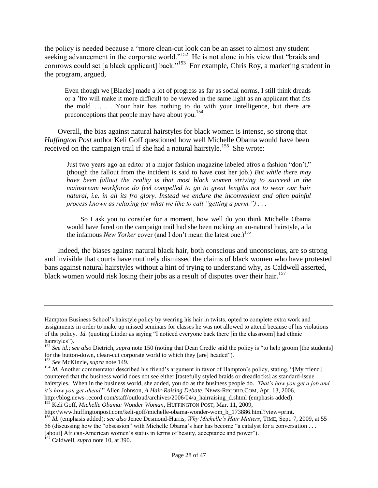the policy is needed because a "more clean-cut look can be an asset to almost any student seeking advancement in the corporate world."<sup>152</sup> He is not alone in his view that "braids and cornrows could set [a black applicant] back."<sup>153</sup> For example, Chris Roy, a marketing student in the program, argued,

Even though we [Blacks] made a lot of progress as far as social norms, I still think dreads or a 'fro will make it more difficult to be viewed in the same light as an applicant that fits the mold . . . . Your hair has nothing to do with your intelligence, but there are preconceptions that people may have about you.<sup>154</sup>

Overall, the bias against natural hairstyles for black women is intense, so strong that *Huffington Post* author Keli Goff questioned how well Michelle Obama would have been received on the campaign trail if she had a natural hairstyle.<sup>155</sup> She wrote:

Just two years ago an editor at a major fashion magazine labeled afros a fashion "don't," (though the fallout from the incident is said to have cost her job.) *But while there may have been fallout the reality is that most black women striving to succeed in the mainstream workforce do feel compelled to go to great lengths not to wear our hair natural, i.e. in all its fro glory. Instead we endure the inconvenient and often painful process known as relaxing (or what we like to call "getting a perm.") . .* .

So I ask you to consider for a moment, how well do you think Michelle Obama would have fared on the campaign trail had she been rocking an au-natural hairstyle, a la the infamous *New Yorker* cover (and I don't mean the latest one.)<sup>156</sup>

Indeed, the biases against natural black hair, both conscious and unconscious, are so strong and invisible that courts have routinely dismissed the claims of black women who have protested bans against natural hairstyles without a hint of trying to understand why, as Caldwell asserted, black women would risk losing their jobs as a result of disputes over their hair.<sup>157</sup>

 $\overline{\phantom{a}}$ 

<sup>155</sup> Keli Goff, *Michelle Obama: Wonder Woman*, HUFFINGTON POST, Mar. 11, 2009,

<sup>157</sup> Caldwell, *supra* note [10,](#page-5-0) at 390.

Hampton Business School's hairstyle policy by wearing his hair in twists, opted to complete extra work and assignments in order to make up missed seminars for classes he was not allowed to attend because of his violations of the policy. *Id.* (quoting Linder as saying "I noticed everyone back there [in the classroom] had ethnic hairstyles").

<sup>&</sup>lt;sup>152</sup> See id.; see also Dietrich, *supra* note [150](#page-28-1) (noting that Dean Credle said the policy is "to help groom [the students] for the button-down, clean-cut corporate world to which they [are] headed").

<sup>153</sup> *See* McKinzie, *supra* not[e 149.](#page-28-0)

<sup>&</sup>lt;sup>154</sup> *Id.* Another commentator described his friend's argument in favor of Hampton's policy, stating, "[My friend] countered that the business world does not see either [tastefully styled braids or dreadlocks] as standard-issue hairstyles. When in the business world, she added, you do as the business people do. *That"s how you get a job and it"s how you get ahead.*‖ Allen Johnson, *A Hair-Raising Debate*, NEWS-RECORD.COM, Apr. 13, 2006, http://blog.news-record.com/staff/outloud/archives/2006/04/a\_hairraising\_d.shtml (emphasis added).

http://www.huffingtonpost.com/keli-goff/michelle-obama-wonder-wom\_b\_173886.html?view=print.

<sup>156</sup> *Id.* (emphasis added); *see also* Jenee Desmond-Harris, *Why Michelle"s Hair Matters*, TIME, Sept. 7, 2009, at 55– 56 (discussing how the "obsession" with Michelle Obama's hair has become "a catalyst for a conversation . . .

<sup>[</sup>about] African-American women's status in terms of beauty, acceptance and power").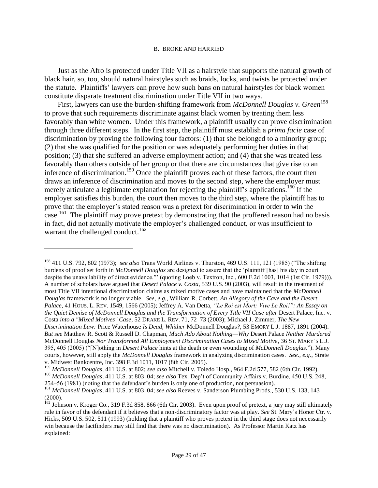#### B. BROKE AND HARRIED

Just as the Afro is protected under Title VII as a hairstyle that supports the natural growth of black hair, so, too, should natural hairstyles such as braids, locks, and twists be protected under the statute. Plaintiffs' lawyers can prove how such bans on natural hairstyles for black women constitute disparate treatment discrimination under Title VII in two ways.

First, lawyers can use the burden-shifting framework from *McDonnell Douglas v. Green*<sup>158</sup> to prove that such requirements discriminate against black women by treating them less favorably than white women. Under this framework, a plaintiff usually can prove discrimination through three different steps. In the first step, the plaintiff must establish a *prima facie* case of discrimination by proving the following four factors: (1) that she belonged to a minority group; (2) that she was qualified for the position or was adequately performing her duties in that position; (3) that she suffered an adverse employment action; and (4) that she was treated less favorably than others outside of her group or that there are circumstances that give rise to an inference of discrimination.<sup>159</sup> Once the plaintiff proves each of these factors, the court then draws an inference of discrimination and moves to the second step, where the employer must merely articulate a legitimate explanation for rejecting the plaintiff's applications.<sup>160</sup> If the employer satisfies this burden, the court then moves to the third step, where the plaintiff has to prove that the employer's stated reason was a pretext for discrimination in order to win the case.<sup>161</sup> The plaintiff may prove pretext by demonstrating that the proffered reason had no basis in fact, did not actually motivate the employer's challenged conduct, or was insufficient to warrant the challenged conduct.<sup>162</sup>

158 411 U.S. 792, 802 (1973); *see also* Trans World Airlines v. Thurston, 469 U.S. 111, 121 (1985) ("The shifting burdens of proof set forth in *McDonnell Douglas* are designed to assure that the 'plaintiff [has] his day in court despite the unavailability of direct evidence."' (quoting Loeb v. Textron, Inc., 600 F.2d 1003, 1014 (1st Cir. 1979))). A number of scholars have argued that *Desert Palace v. Costa*, 539 U.S. 90 (2003), will result in the treatment of most Title VII intentional discrimination claims as mixed motive cases and have maintained that the *McDonnell Douglas* framework is no longer viable. *See, e.g.*, William R. Corbett, *An Allegory of the Cave and the Desert Palace*, 41 HOUS. L. REV. 1549, 1566 (2005); Jeffrey A. Van Detta, *"Le Roi est Mort; Vive Le Roi!": An Essay on the Quiet Demise of McDonnell Douglas and the Transformation of Every Title VII Case after Desert Palace, Inc. v.* Costa *into a "Mixed Motives" Case*, 52 DRAKE L. REV. 71, 72–73 (2003); Michael J. Zimmer, *The New Discrimination Law:* Price Waterhouse *Is Dead, Whither* McDonnell Douglas*?*, 53 EMORY L.J. 1887, 1891 (2004). *But see* Matthew R. Scott & Russell D. Chapman, *Much Ado About Nothing—Why* Desert Palace *Neither Murdered*  McDonnell Douglas *Nor Transformed All Employment Discrimination Cases to Mixed Motive*, 36 ST. MARY'S L.J. 395, 405 (2005) (―[N]othing in *Desert Palace* hints at the death or even wounding of *McDonnell Douglas*.‖). Many courts, however, still apply the *McDonnell Douglas* framework in analyzing discrimination cases. *See., e.g.*, Strate v. Midwest Bankcentre, Inc. 398 F.3d 1011, 1017 (8th Cir. 2005).

l

<sup>159</sup> *McDonnell Douglas*, 411 U.S. at 802; *see also* Mitchell v. Toledo Hosp., 964 F.2d 577, 582 (6th Cir. 1992). <sup>160</sup> *McDonnell Douglas*, 411 U.S. at 803–04; *see also* Tex. Dep't of Community Affairs v. Burdine, 450 U.S. 248, 254–56 (1981) (noting that the defendant's burden is only one of production, not persuasion).

<sup>161</sup> *McDonnell Douglas*, 411 U.S. at 803–04; *see also* Reeves v. Sanderson Plumbing Prods., 530 U.S. 133, 143  $(2000).$ 

<sup>162</sup> Johnson v. Kroger Co., 319 F.3d 858, 866 (6th Cir. 2003). Even upon proof of pretext, a jury may still ultimately rule in favor of the defendant if it believes that a non-discriminatory factor was at play. *See* St. Mary's Honor Ctr. v. Hicks, 509 U.S. 502, 511 (1993) (holding that a plaintiff who proves pretext in the third stage does not necessarily win because the factfinders may still find that there was no discrimination). As Professor Martin Katz has explained: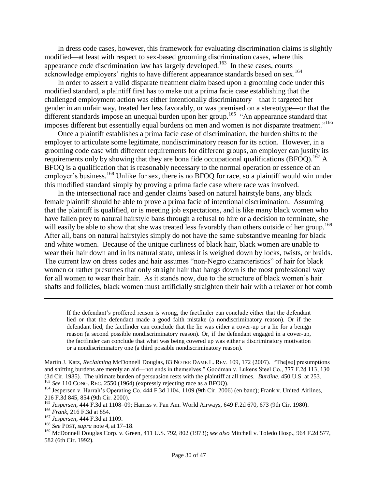In dress code cases, however, this framework for evaluating discrimination claims is slightly modified—at least with respect to sex-based grooming discrimination cases, where this appearance code discrimination law has largely developed.<sup>163</sup> In these cases, courts acknowledge employers' rights to have different appearance standards based on sex.<sup>164</sup>

In order to assert a valid disparate treatment claim based upon a grooming code under this modified standard, a plaintiff first has to make out a prima facie case establishing that the challenged employment action was either intentionally discriminatory—that it targeted her gender in an unfair way, treated her less favorably, or was premised on a stereotype—or that the different standards impose an unequal burden upon her group.<sup>165</sup> "An appearance standard that imposes different but essentially equal burdens on men and women is not disparate treatment."<sup>166</sup>

Once a plaintiff establishes a prima facie case of discrimination, the burden shifts to the employer to articulate some legitimate, nondiscriminatory reason for its action. However, in a grooming code case with different requirements for different groups, an employer can justify its requirements only by showing that they are bona fide occupational qualifications (BFOQ).<sup>167</sup> A BFOQ is a qualification that is reasonably necessary to the normal operation or essence of an employer's business.<sup>168</sup> Unlike for sex, there is no BFOQ for race, so a plaintiff would win under this modified standard simply by proving a prima facie case where race was involved.

In the intersectional race and gender claims based on natural hairstyle bans, any black female plaintiff should be able to prove a prima facie of intentional discrimination. Assuming that the plaintiff is qualified, or is meeting job expectations, and is like many black women who have fallen prey to natural hairstyle bans through a refusal to hire or a decision to terminate, she will easily be able to show that she was treated less favorably than others outside of her group.<sup>169</sup> After all, bans on natural hairstyles simply do not have the same substantive meaning for black and white women. Because of the unique curliness of black hair, black women are unable to wear their hair down and in its natural state, unless it is weighed down by locks, twists, or braids. The current law on dress codes and hair assumes "non-Negro characteristics" of hair for black women or rather presumes that only straight hair that hangs down is the most professional way for all women to wear their hair. As it stands now, due to the structure of black women's hair shafts and follicles, black women must artificially straighten their hair with a relaxer or hot comb

If the defendant's proffered reason is wrong, the factfinder can conclude either that the defendant lied or that the defendant made a good faith mistake (a nondiscriminatory reason). Or if the defendant lied, the factfinder can conclude that the lie was either a cover-up or a lie for a benign reason (a second possible nondiscriminatory reason). Or, if the defendant engaged in a cover-up, the factfinder can conclude that what was being covered up was either a discriminatory motivation or a nondiscriminatory one (a third possible nondiscriminatory reason).

- <sup>167</sup> *Jespersen*, 444 F.3d at 1109.
- <sup>168</sup> *See* POST, *supra* note [4,](#page-3-1) at 17–18.

Martin J. Katz, *Reclaiming* McDonnell Douglas, 83 NOTRE DAME L. REV. 109, 172 (2007). "The<sup>[se]</sup> presumptions and shifting burdens are merely an aid—not ends in themselves." Goodman v. Lukens Steel Co., 777 F.2d 113, 130 (3d Cir. 1985). The ultimate burden of persuasion rests with the plaintiff at all times. *Burdine*, 450 U.S. at 253. <sup>163</sup> *See* 110 CONG. REC. 2550 (1964) (expressly rejecting race as a BFOQ).

<sup>&</sup>lt;sup>164</sup> Jespersen v. Harrah's Operating Co. 444 F.3d 1104, 1109 (9th Cir. 2006) (en banc); Frank v. United Airlines, 216 F.3d 845, 854 (9th Cir. 2000).

<sup>165</sup> *Jespersen*, 444 F.3d at 1108–09; Harriss v. Pan Am. World Airways, 649 F.2d 670, 673 (9th Cir. 1980).

<sup>166</sup> *Frank*, 216 F.3d at 854.

<sup>169</sup> McDonnell Douglas Corp. v. Green, 411 U.S. 792, 802 (1973); *see also* Mitchell v. Toledo Hosp., 964 F.2d 577, 582 (6th Cir. 1992).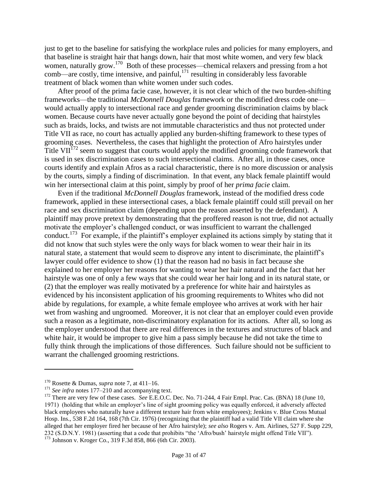just to get to the baseline for satisfying the workplace rules and policies for many employers, and that baseline is straight hair that hangs down, hair that most white women, and very few black women, naturally grow.<sup>170</sup> Both of these processes—chemical relaxers and pressing from a hot comb—are costly, time intensive, and painful, $^{171}$  resulting in considerably less favorable treatment of black women than white women under such codes.

After proof of the prima facie case, however, it is not clear which of the two burden-shifting frameworks—the traditional *McDonnell Douglas* framework or the modified dress code one would actually apply to intersectional race and gender grooming discrimination claims by black women. Because courts have never actually gone beyond the point of deciding that hairstyles such as braids, locks, and twists are not immutable characteristics and thus not protected under Title VII as race, no court has actually applied any burden-shifting framework to these types of grooming cases. Nevertheless, the cases that highlight the protection of Afro hairstyles under Title VII<sup>172</sup> seem to suggest that courts would apply the modified grooming code framework that is used in sex discrimination cases to such intersectional claims. After all, in those cases, once courts identify and explain Afros as a racial characteristic, there is no more discussion or analysis by the courts, simply a finding of discrimination. In that event, any black female plaintiff would win her intersectional claim at this point, simply by proof of her *prima facie* claim.

Even if the traditional *McDonnell Douglas* framework, instead of the modified dress code framework, applied in these intersectional cases, a black female plaintiff could still prevail on her race and sex discrimination claim (depending upon the reason asserted by the defendant). A plaintiff may prove pretext by demonstrating that the proffered reason is not true, did not actually motivate the employer's challenged conduct, or was insufficient to warrant the challenged conduct.<sup>173</sup> For example, if the plaintiff's employer explained its actions simply by stating that it did not know that such styles were the only ways for black women to wear their hair in its natural state, a statement that would seem to disprove any intent to discriminate, the plaintiff's lawyer could offer evidence to show (1) that the reason had no basis in fact because she explained to her employer her reasons for wanting to wear her hair natural and the fact that her hairstyle was one of only a few ways that she could wear her hair long and in its natural state, or (2) that the employer was really motivated by a preference for white hair and hairstyles as evidenced by his inconsistent application of his grooming requirements to Whites who did not abide by regulations, for example, a white female employee who arrives at work with her hair wet from washing and ungroomed. Moreover, it is not clear that an employer could even provide such a reason as a legitimate, non-discriminatory explanation for its actions. After all, so long as the employer understood that there are real differences in the textures and structures of black and white hair, it would be improper to give him a pass simply because he did not take the time to fully think through the implications of those differences. Such failure should not be sufficient to warrant the challenged grooming restrictions.

<sup>170</sup> Rosette & Dumas, *supra* note [7,](#page-4-0) at 411–16.

<sup>&</sup>lt;sup>171</sup> *See infra* notes  $177-210$  and accompanying text.

<sup>&</sup>lt;sup>172</sup> There are very few of these cases. *See* E.E.O.C. Dec. No. 71-244, 4 Fair Empl. Prac. Cas. (BNA) 18 (June 10, 1971) (holding that while an employer's line of sight grooming policy was equally enforced, it adversely affected black employees who naturally have a different texture hair from white employees); Jenkins v. Blue Cross Mutual Hosp. Ins., 538 F.2d 164, 168 (7th Cir. 1976) (recognizing that the plaintiff had a valid Title VII claim where she alleged that her employer fired her because of her Afro hairstyle); *see also* Rogers v. Am. Airlines, 527 F. Supp 229, 232 (S.D.N.Y. 1981) (asserting that a code that prohibits "the 'Afro/bush' hairstyle might offend Title VII").

<sup>173</sup> Johnson v. Kroger Co., 319 F.3d 858, 866 (6th Cir. 2003).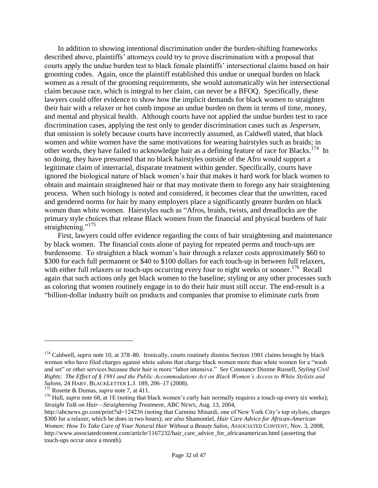In addition to showing intentional discrimination under the burden-shifting frameworks described above, plaintiffs' attorneys could try to prove discrimination with a proposal that courts apply the undue burden test to black female plaintiffs' intersectional claims based on hair grooming codes. Again, once the plaintiff established this undue or unequal burden on black women as a result of the grooming requirements, she would automatically win her intersectional claim because race, which is integral to her claim, can never be a BFOQ. Specifically, these lawyers could offer evidence to show how the implicit demands for black women to straighten their hair with a relaxer or hot comb impose an undue burden on them in terms of time, money, and mental and physical health. Although courts have not applied the undue burden test to race discrimination cases, applying the test only to gender discrimination cases such as *Jespersen*, that omission is solely because courts have incorrectly assumed, as Caldwell stated, that black women and white women have the same motivations for wearing hairstyles such as braids; in other words, they have failed to acknowledge hair as a defining feature of race for Blacks.<sup>174</sup> In so doing, they have presumed that no black hairstyles outside of the Afro would support a legitimate claim of interracial, disparate treatment within gender. Specifically, courts have ignored the biological nature of black women's hair that makes it hard work for black women to obtain and maintain straightened hair or that may motivate them to forego any hair straightening process. When such biology is noted and considered, it becomes clear that the unwritten, raced and gendered norms for hair by many employers place a significantly greater burden on black women than white women. Hairstyles such as "Afros, braids, twists, and dreadlocks are the primary style choices that release Black women from the financial and physical burdens of hair straightening." $175$ 

<span id="page-33-0"></span>First, lawyers could offer evidence regarding the costs of hair straightening and maintenance by black women. The financial costs alone of paying for repeated perms and touch-ups are burdensome. To straighten a black woman's hair through a relaxer costs approximately \$60 to \$300 for each full permanent or \$40 to \$100 dollars for each touch-up in between full relaxers, with either full relaxers or touch-ups occurring every four to eight weeks or sooner.<sup>176</sup> Recall again that such actions only get black women to the baseline; styling or any other processes such as coloring that women routinely engage in to do their hair must still occur. The end-result is a ―billion-dollar industry built on products and companies that promise to eliminate curls from

<sup>&</sup>lt;sup>174</sup> Caldwell, *supra* note [10,](#page-5-0) at 378–80. Ironically, courts routinely dismiss Section 1981 claims brought by black women who have filed charges against white salons that charge black women more than white women for a "wash" and set" or other services because their hair is more "labor intensive." *See* Constance Dionne Russell, *Styling Civil Rights: The Effect of § 1981 and the Public Accommodations Act on Black Women"s Access to White Stylists and Salons*, 24 HARV. BLACKLETTER L.J. 189, 206–17 (2008).

<sup>175</sup> Rosette & Dumas, *supra* note [7,](#page-4-0) at 411.

<sup>&</sup>lt;sup>176</sup> Hull, *supra* note [68,](#page-15-0) at 1E (noting that black women's curly hair normally requires a touch-up every six weeks); *Straight Talk on Hair—Straightening Treatment*, ABC NEWS, Aug. 13, 2004,

http://abcnews.go.com/print?id=124236 (noting that Carmine Minardi, one of New York City's top stylists, charges \$300 for a relaxer, which he does in two hours); *see also* Shamontiel, *Hair Care Advice for African-American Women: How To Take Care of Your Natural Hair Without a Beauty Salon*, ASSOCIATED CONTENT, Nov. 3, 2008, http://www.associatedcontent.com/article/1167232/hair\_care\_advice\_for\_africanamerican.html (asserting that touch-ups occur once a month).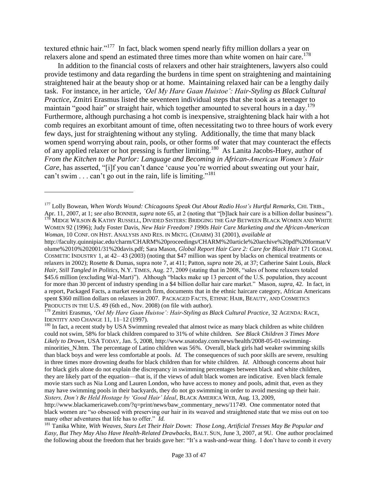<span id="page-34-0"></span>textured ethnic hair."<sup>177</sup> In fact, black women spend nearly fifty million dollars a year on relaxers alone and spend an estimated three times more than white women on hair care.<sup>178</sup>

In addition to the financial costs of relaxers and other hair straighteners, lawyers also could provide testimony and data regarding the burdens in time spent on straightening and maintaining straightened hair at the beauty shop or at home. Maintaining relaxed hair can be a lengthy daily task. For instance, in her article, *"Oel My Hare Gaan Huistoe": Hair-Styling as Black Cultural Practice*, Zmitri Erasmus listed the seventeen individual steps that she took as a teenager to maintain "good hair" or straight hair, which together amounted to several hours in a day.<sup>179</sup> Furthermore, although purchasing a hot comb is inexpensive, straightening black hair with a hot comb requires an exorbitant amount of time, often necessitating two to three hours of work every few days, just for straightening without any styling. Additionally, the time that many black women spend worrying about rain, pools, or other forms of water that may counteract the effects of any applied relaxer or hot pressing is further limiting.<sup>180</sup> As Lanita Jacobs-Huey, author of *From the Kitchen to the Parlor: Language and Becoming in African-American Women"s Hair Care*, has asserted, "[i]f you can't dance 'cause you're worried about sweating out your hair, can't swim . . . can't go out in the rain, life is limiting."<sup>181</sup>

<span id="page-34-1"></span><sup>177</sup> Lolly Bowean, *When Words Wound: Chicagoans Speak Out About Radio Host"s Hurtful Remarks*, CHI. TRIB., Apr. 11, 2007, at 1; *see also* BONNER, *supra* note [65,](#page-15-1) at 2 (noting that "[b]lack hair care is a billion dollar business"). MIDGE WILSON & KATHY RUSSELL, DIVIDED SISTERS: BRIDGING THE GAP BETWEEN BLACK WOMEN AND WHITE

WOMEN 92 (1996); Judy Foster Davis, *New Hair Freedom? 1990s Hair Care Marketing and the African-American Woman*, 10 CONF. ON HIST. ANALYSIS AND RES. IN MKTG. (CHARM) 31 (2001), *available at* 

http://faculty.quinnipiac.edu/charm/CHARM%20proceedings/CHARM%20article%20archive%20pdf%20format/V olume%2010%202001/31%20davis.pdf; Sara Mason, *Global Report Hair Care 2: Care for Black Hair* 171 GLOBAL COSMETIC INDUSTRY 1, at 42– 43 (2003) (noting that \$47 million was spent by blacks on chemical treatments or relaxers in 2002); Rosette & Dumas, supra note [7,](#page-4-0) at 411; Patton, *supra* not[e 26,](#page-8-0) at 37; Catherine Saint Louis, *Black Hair, Still Tangled in Politics*, N.Y. TIMES, Aug. 27, 2009 (stating that in 2008, "sales of home relaxers totaled \$45.6 million (excluding Wal-Mart)"). Although "blacks make up 13 percent of the U.S. population, they account for more than 30 percent of industry spending in a \$4 billion dollar hair care market.‖ Mason, *supra*, 42. In fact, in a report, Packaged Facts, a market research firm, documents that in the ethnic haircare category, African Americans spent \$360 million dollars on relaxers in 2007. PACKAGED FACTS, ETHNIC HAIR, BEAUTY, AND COSMETICS PRODUCTS IN THE U.S. 49 (6th ed., Nov. 2008) (on file with author).

<sup>179</sup> Zmitri Erasmus, ‗*Oel My Hare Gaan Huistoe": Hair-Styling as Black Cultural Practice*, 32 AGENDA: RACE, IDENTITY AND CHANGE 11, 11–12 (1997).

<sup>&</sup>lt;sup>180</sup> In fact, a recent study by USA Swimming revealed that almost twice as many black children as white children could not swim, 58% for black children compared to 31% of white children. *See Black Children 3 Times More Likely to Drown*, USA TODAY, Jan. 5, 2008, http://www.usatoday.com/news/health/2008-05-01-swimmingminorities N.htm. The percentage of Latino children was 56%. Overall, black girls had weaker swimming skills than black boys and were less comfortable at pools. *Id.* The consequences of such poor skills are severe, resulting in three times more drowning deaths for black children than for white children. *Id.* Although concerns about hair for black girls alone do not explain the discrepancy in swimming percentages between black and white children, they are likely part of the equation—that is, if the views of adult black women are indicative. Even black female movie stars such as Nia Long and Lauren London, who have access to money and pools, admit that, even as they may have swimming pools in their backyards, they do not go swimming in order to avoid messing up their hair. *Sisters, Don"t Be Held Hostage by "Good Hair" Ideal*, BLACK AMERICA WEB, Aug. 13, 2009,

http://www.blackamericaweb.com/?q=print/news/baw\_commentary\_news/11749. One commentator noted that black women are "so obsessed with preserving our hair in its weaved and straightened state that we miss out on too many other adventures that life has to offer." *Id.* 

<sup>181</sup> Tanika White, *With Weaves, Stars Let Their Hair Down: Those Long, Artificial Tresses May Be Popular and Easy, But They May Also Have Health-Related Drawbacks*, BALT. SUN, June 3, 2007, at 9U. One author proclaimed the following about the freedom that her braids gave her: "It's a wash-and-wear thing. I don't have to comb it every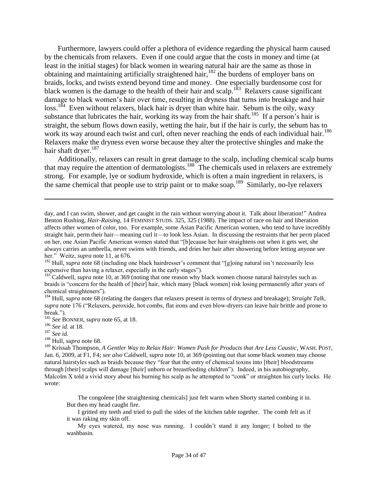Furthermore, lawyers could offer a plethora of evidence regarding the physical harm caused by the chemicals from relaxers. Even if one could argue that the costs in money and time (at least in the initial stages) for black women in wearing natural hair are the same as those in obtaining and maintaining artificially straightened hair,<sup>182</sup> the burdens of employer bans on braids, locks, and twists extend beyond time and money. One especially burdensome cost for black women is the damage to the health of their hair and scalp.<sup>183</sup> Relaxers cause significant damage to black women's hair over time, resulting in dryness that turns into breakage and hair loss.<sup>184</sup> Even without relaxers, black hair is dryer than white hair. Sebum is the oily, waxy substance that lubricates the hair, working its way from the hair shaft.<sup>185</sup> If a person's hair is straight, the sebum flows down easily, wetting the hair, but if the hair is curly, the sebum has to work its way around each twist and curl, often never reaching the ends of each individual hair.<sup>186</sup> Relaxers make the dryness even worse because they alter the protective shingles and make the hair shaft dryer.<sup>187</sup>

Additionally, relaxers can result in great damage to the scalp, including chemical scalp burns that may require the attention of dermatologists.<sup>188</sup> The chemicals used in relaxers are extremely strong. For example, lye or sodium hydroxide, which is often a main ingredient in relaxers, is the same chemical that people use to strip paint or to make soap. <sup>189</sup> Similarly, no-lye relaxers

<sup>185</sup> *See* BONNER, *supra* note [65,](#page-15-1) at 18.

<sup>186</sup> *See id.* at 18.

<sup>187</sup> *See id.*

<span id="page-35-0"></span> $\overline{\phantom{a}}$ 

<sup>188</sup> Hull, *supra* note [68.](#page-15-0)

<sup>189</sup> Krissah Thompson, *A Gentler Way to Relax Hair: Women Push for Products that Are Less Caustic*, WASH. POST, Jan. 6, 2009, at F1, F4; *see also* Caldwell, *supra* note [10,](#page-5-0) at 369 (pointing out that some black women may choose natural hairstyles such as braids because they "fear that the entry of chemical toxins into [their] bloodstreams through [their] scalps will damage [their] unborn or breastfeeding children‖). Indeed, in his autobiography, Malcolm X told a vivid story about his burning his scalp as he attempted to "conk" or straighten his curly locks. He wrote:

The congolene [the straightening chemicals] just felt warm when Shorty started combing it in. But then my head caught fire.

I gritted my teeth and tried to pull the sides of the kitchen table together. The comb felt as if it was raking my skin off.

My eyes watered, my nose was running. I couldn't stand it any longer; I bolted to the washbasin.

day, and I can swim, shower, and get caught in the rain without worrying about it. Talk about liberation!" Andrea Benton Rushing, *Hair-Raising*, 14 FEMINIST STUDS. 325, 325 (1988). The impact of race on hair and liberation affects other women of color, too. For example, some Asian Pacific American women, who tend to have incredibly straight hair, perm their hair—meaning curl it—to look less Asian. In discussing the restraints that her perm placed on her, one Asian Pacific American women stated that "[b]ecause her hair straightens out when it gets wet, she always carries an umbrella, never swims with friends, and dries her hair after showering before letting anyone see her." Weitz, *supra* not[e 11,](#page-5-1) at 676.

 $182$  Hull, *supra* note [68](#page-15-0) (including one black hairdresser's comment that "[g]oing natural isn't necessarily less expensive than having a relaxer, especially in the early stages").

<sup>&</sup>lt;sup>183</sup> Caldwell, *supra* note [10,](#page-5-0) at 369 (noting that one reason why black women choose natural hairstyles such as braids is "concern for the health of [their] hair, which many [black women] risk losing permanently after years of chemical straighteners").

<sup>184</sup> Hull, *supra* note [68](#page-15-0) (relating the dangers that relaxers present in terms of dryness and breakage); *Straight Talk*, *supra* note [176](#page-33-0) ("Relaxers, peroxide, hot combs, flat irons and even blow-dryers can leave hair brittle and prone to break.").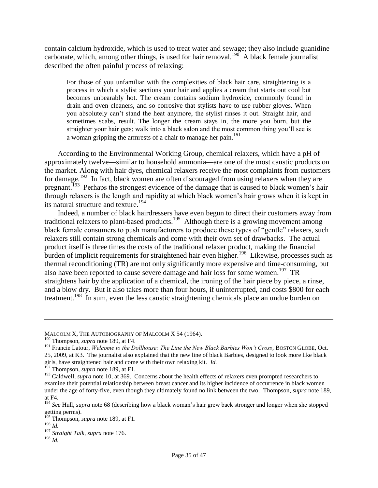contain calcium hydroxide, which is used to treat water and sewage; they also include guanidine carbonate, which, among other things, is used for hair removal.<sup>190</sup> A black female journalist described the often painful process of relaxing:

For those of you unfamiliar with the complexities of black hair care, straightening is a process in which a stylist sections your hair and applies a cream that starts out cool but becomes unbearably hot. The cream contains sodium hydroxide, commonly found in drain and oven cleaners, and so corrosive that stylists have to use rubber gloves. When you absolutely can't stand the heat anymore, the stylist rinses it out. Straight hair, and sometimes scabs, result. The longer the cream stays in, the more you burn, but the straighter your hair gets; walk into a black salon and the most common thing you'll see is a woman gripping the armrests of a chair to manage her pain.<sup>191</sup>

According to the Environmental Working Group, chemical relaxers, which have a pH of approximately twelve—similar to household ammonia—are one of the most caustic products on the market. Along with hair dyes, chemical relaxers receive the most complaints from customers for damage.<sup>192</sup> In fact, black women are often discouraged from using relaxers when they are pregnant.<sup>193</sup> Perhaps the strongest evidence of the damage that is caused to black women's hair through relaxers is the length and rapidity at which black women's hair grows when it is kept in its natural structure and texture.<sup>194</sup>

Indeed, a number of black hairdressers have even begun to direct their customers away from traditional relaxers to plant-based products.<sup>195</sup> Although there is a growing movement among black female consumers to push manufacturers to produce these types of "gentle" relaxers, such relaxers still contain strong chemicals and come with their own set of drawbacks. The actual product itself is three times the costs of the traditional relaxer product, making the financial burden of implicit requirements for straightened hair even higher.<sup>196</sup> Likewise, processes such as thermal reconditioning (TR) are not only significantly more expensive and time-consuming, but also have been reported to cause severe damage and hair loss for some women.<sup>197</sup> TR straightens hair by the application of a chemical, the ironing of the hair piece by piece, a rinse, and a blow dry. But it also takes more than four hours, if uninterrupted, and costs \$800 for each treatment.<sup>198</sup> In sum, even the less caustic straightening chemicals place an undue burden on

<sup>192</sup> Thompson, *supra* note [189,](#page-35-0) at F1.

 $\overline{a}$ 

<sup>197</sup> *Straight Talk*, *supra* not[e 176.](#page-33-0)

MALCOLM X, THE AUTOBIOGRAPHY OF MALCOLM X 54 (1964).

<sup>190</sup> Thompson, *supra* note [189,](#page-35-0) at F4.

<sup>&</sup>lt;sup>191</sup> Francie Latour, *Welcome to the Dollhouse: The Line the New Black Barbies Won't Cross*, BOSTON GLOBE, Oct. 25, 2009, at K3. The journalist also explained that the new line of black Barbies, designed to look more like black girls, have straightened hair and come with their own relaxing kit. *Id.*

<sup>&</sup>lt;sup>193</sup> Caldwell, *supra* note [10,](#page-5-0) at 369. Concerns about the health effects of relaxers even prompted researchers to examine their potential relationship between breast cancer and its higher incidence of occurrence in black women under the age of forty-five, even though they ultimately found no link between the two. Thompson, *supra* note [189,](#page-35-0) at F4.

<sup>&</sup>lt;sup>194</sup> See Hull, *supra* note [68](#page-15-0) (describing how a black woman's hair grew back stronger and longer when she stopped getting perms).

<sup>195</sup> Thompson, *supra* note [189,](#page-35-0) at F1.

<sup>196</sup> *Id.*

<sup>198</sup> *Id.*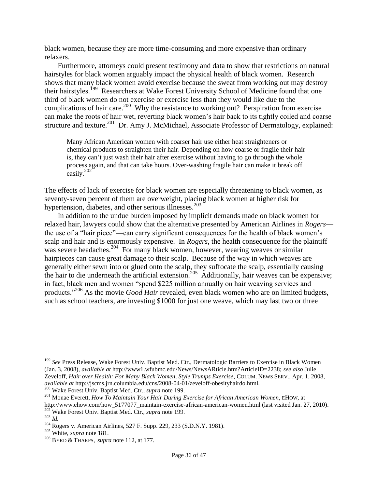black women, because they are more time-consuming and more expensive than ordinary relaxers.

<span id="page-37-0"></span>Furthermore, attorneys could present testimony and data to show that restrictions on natural hairstyles for black women arguably impact the physical health of black women. Research shows that many black women avoid exercise because the sweat from working out may destroy their hairstyles.<sup>199</sup> Researchers at Wake Forest University School of Medicine found that one third of black women do not exercise or exercise less than they would like due to the complications of hair care.<sup>200</sup> Why the resistance to working out? Perspiration from exercise can make the roots of hair wet, reverting black women's hair back to its tightly coiled and coarse structure and texture.<sup>201</sup> Dr. Amy J. McMichael, Associate Professor of Dermatology, explained:

Many African American women with coarser hair use either heat straighteners or chemical products to straighten their hair. Depending on how coarse or fragile their hair is, they can't just wash their hair after exercise without having to go through the whole process again, and that can take hours. Over-washing fragile hair can make it break off easily. $202^{\circ}$ 

The effects of lack of exercise for black women are especially threatening to black women, as seventy-seven percent of them are overweight, placing black women at higher risk for hypertension, diabetes, and other serious illnesses.<sup>203</sup>

In addition to the undue burden imposed by implicit demands made on black women for relaxed hair, lawyers could show that the alternative presented by American Airlines in *Rogers* the use of a "hair piece"—can carry significant consequences for the health of black women's scalp and hair and is enormously expensive. In *Rogers*, the health consequence for the plaintiff was severe headaches.<sup>204</sup> For many black women, however, wearing weaves or similar hairpieces can cause great damage to their scalp. Because of the way in which weaves are generally either sewn into or glued onto the scalp, they suffocate the scalp, essentially causing the hair to die underneath the artificial extension.<sup>205</sup> Additionally, hair weaves can be expensive; in fact, black men and women "spend \$225 million annually on hair weaving services and products.<sup>206</sup> As the movie *Good Hair* revealed, even black women who are on limited budgets, such as school teachers, are investing \$1000 for just one weave, which may last two or three

<sup>200</sup> Wake Forest Univ. Baptist Med. Ctr., *supra* note [199.](#page-37-0)

<sup>199</sup> *See* Press Release, Wake Forest Univ. Baptist Med. Ctr., Dermatologic Barriers to Exercise in Black Women (Jan. 3, 2008), *available at* http://www1.wfubmc.edu/News/NewsARticle.htm?ArticleID=2238; *see also* Julie Zeveloff, *Hair over Health: For Many Black Women, Style Trumps Exercise*, COLUM. NEWS SERV., Apr. 1. 2008, *available at* http://jscms.jrn.columbia.edu/cns/2008-04-01/zeveloff-obesityhairdo.html.

<sup>201</sup> Monae Everett, *How To Maintain Your Hair During Exercise for African American Women*, EHOW, at http://www.ehow.com/how\_5177077\_maintain-exercise-african-american-women.html (last visited Jan. 27, 2010).

<sup>&</sup>lt;sup>202</sup> Wake Forest Univ. Baptist Med. Ctr., *supra* note [199.](#page-37-0)

<sup>203</sup> *Id.*

<sup>204</sup> Rogers v. American Airlines, 527 F. Supp. 229, 233 (S.D.N.Y. 1981).

<sup>205</sup> White, *supra* not[e 181.](#page-34-1)

<sup>206</sup> BYRD & THARPS, *supra* note [112,](#page-21-1) at 177.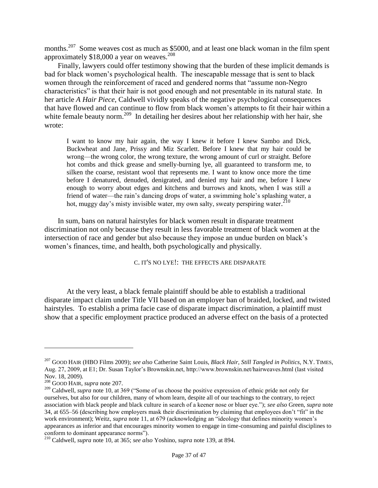<span id="page-38-0"></span>months.<sup>207</sup> Some weaves cost as much as \$5000, and at least one black woman in the film spent approximately  $$18,000$  a year on weaves.<sup>208</sup>

Finally, lawyers could offer testimony showing that the burden of these implicit demands is bad for black women's psychological health. The inescapable message that is sent to black women through the reinforcement of raced and gendered norms that "assume non-Negro" characteristics" is that their hair is not good enough and not presentable in its natural state. In her article *A Hair Piece*, Caldwell vividly speaks of the negative psychological consequences that have flowed and can continue to flow from black women's attempts to fit their hair within a white female beauty norm.<sup>209</sup> In detailing her desires about her relationship with her hair, she wrote:

I want to know my hair again, the way I knew it before I knew Sambo and Dick, Buckwheat and Jane, Prissy and Miz Scarlett. Before I knew that my hair could be wrong—the wrong color, the wrong texture, the wrong amount of curl or straight. Before hot combs and thick grease and smelly-burning lye, all guaranteed to transform me, to silken the coarse, resistant wool that represents me. I want to know once more the time before I denatured, denuded, denigrated, and denied my hair and me, before I knew enough to worry about edges and kitchens and burrows and knots, when I was still a friend of water—the rain's dancing drops of water, a swimming hole's splashing water, a hot, muggy day's misty invisible water, my own salty, sweaty perspiring water.  $^{210}$ 

In sum, bans on natural hairstyles for black women result in disparate treatment discrimination not only because they result in less favorable treatment of black women at the intersection of race and gender but also because they impose an undue burden on black's women's finances, time, and health, both psychologically and physically.

C. IT'S NO LYE!: THE EFFECTS ARE DISPARATE

At the very least, a black female plaintiff should be able to establish a traditional disparate impact claim under Title VII based on an employer ban of braided, locked, and twisted hairstyles. To establish a prima facie case of disparate impact discrimination, a plaintiff must show that a specific employment practice produced an adverse effect on the basis of a protected

<sup>207</sup> GOOD HAIR (HBO Films 2009); *see also* Catherine Saint Louis, *Black Hair, Still Tangled in Politics*, N.Y. TIMES, Aug. 27, 2009, at E1; Dr. Susan Taylor's Brownskin.net, http://www.brownskin.net/hairweaves.html (last visited Nov. 18, 2009).

<sup>208</sup> GOOD HAIR, *supra* note [207.](#page-38-0)

<sup>&</sup>lt;sup>209</sup> Caldwell, *supra* note [10,](#page-5-0) at 369 ("Some of us choose the positive expression of ethnic pride not only for ourselves, but also for our children, many of whom learn, despite all of our teachings to the contrary, to reject association with black people and black culture in search of a keener nose or bluer eye.‖); *see also* Green, *supra* note [34,](#page-9-1) at 655–56 (describing how employers mask their discrimination by claiming that employees don't "fit" in the work environment); Weitz, *supra* note [11,](#page-5-1) at 679 (acknowledging an "ideology that defines minority women's appearances as inferior and that encourages minority women to engage in time-consuming and painful disciplines to conform to dominant appearance norms").

<sup>210</sup> Caldwell, *supra* note [10,](#page-5-0) at 365; *see also* Yoshino, *supra* not[e 139,](#page-27-0) at 894.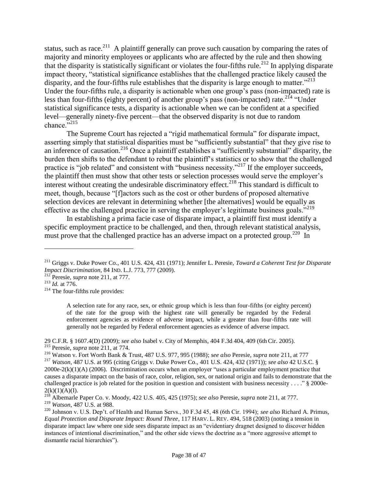<span id="page-39-0"></span>status, such as race.<sup>211</sup> A plaintiff generally can prove such causation by comparing the rates of majority and minority employees or applicants who are affected by the rule and then showing that the disparity is statistically significant or violates the four-fifths rule.<sup>212</sup> In applying disparate impact theory, "statistical significance establishes that the challenged practice likely caused the disparity, and the four-fifths rule establishes that the disparity is large enough to matter.<sup>213</sup> Under the four-fifths rule, a disparity is actionable when one group's pass (non-impacted) rate is less than four-fifths (eighty percent) of another group's pass (non-impacted) rate.<sup>214</sup> "Under statistical significance tests, a disparity is actionable when we can be confident at a specified level—generally ninety-five percent—that the observed disparity is not due to random chance. $5.215$ 

The Supreme Court has rejected a "rigid mathematical formula" for disparate impact, asserting simply that statistical disparities must be "sufficiently substantial" that they give rise to an inference of causation.<sup>216</sup> Once a plaintiff establishes a "sufficiently substantial" disparity, the burden then shifts to the defendant to rebut the plaintiff's statistics or to show that the challenged practice is "job related" and consistent with "business necessity."<sup>217</sup> If the employer succeeds, the plaintiff then must show that other tests or selection processes would serve the employer's interest without creating the undesirable discriminatory effect.<sup>218</sup> This standard is difficult to meet, though, because "[f]actors such as the cost or other burdens of proposed alternative selection devices are relevant in determining whether [the alternatives] would be equally as effective as the challenged practice in serving the employer's legitimate business goals."<sup>219</sup>

In establishing a prima facie case of disparate impact, a plaintiff first must identify a specific employment practice to be challenged, and then, through relevant statistical analysis, must prove that the challenged practice has an adverse impact on a protected group.<sup>220</sup> In

l

A selection rate for any race, sex, or ethnic group which is less than four-fifths (or eighty percent) of the rate for the group with the highest rate will generally be regarded by the Federal enforcement agencies as evidence of adverse impact, while a greater than four-fifths rate will generally not be regarded by Federal enforcement agencies as evidence of adverse impact.

<sup>211</sup> Griggs v. Duke Power Co., 401 U.S. 424, 431 (1971); Jennifer L. Peresie, *Toward a Coherent Test for Disparate Impact Discrimination*, 84 IND. L.J. 773, 777 (2009).

<sup>212</sup> Peresie, *supra* note [211,](#page-39-0) at 777.

<sup>213</sup> *Id.* at 776.

<sup>&</sup>lt;sup>214</sup> The four-fifths rule provides:

<sup>29</sup> C.F.R. § 1607.4(D) (2009); *see also* Isabel v. City of Memphis, 404 F.3d 404, 409 (6th Cir. 2005).

<sup>215</sup> Peresie, *supra* note [211,](#page-39-0) at 774.

<sup>216</sup> Watson v. Fort Worth Bank & Trust, 487 U.S. 977, 995 (1988); *see also* Peresie, *supra* note [211,](#page-39-0) at 777

<sup>217</sup> *Watson*, 487 U.S. at 995 (citing Griggs v. Duke Power Co., 401 U.S. 424, 432 (1971)); *see also* 42 U.S.C. §  $2000e-2(k)(1)(A)$  (2006). Discrimination occurs when an employer "uses a particular employment practice that causes a disparate impact on the basis of race, color, religion, sex, or national origin and fails to demonstrate that the challenged practice is job related for the position in question and consistent with business necessity . . . ." § 2000e- $2(k)(1)(A)(I).$ 

<sup>218</sup> Albemarle Paper Co. v. Moody, 422 U.S. 405, 425 (1975); *see also* Peresie, *supra* not[e 211,](#page-39-0) at 777. <sup>219</sup> *Watson*, 487 U.S. at 988.

<sup>220</sup> Johnson v. U.S. Dep't. of Health and Human Servs., 30 F.3d 45, 48 (6th Cir. 1994); *see also* Richard A. Primus, *Equal Protection and Disparate Impact: Round Three*, 117 HARV. L. REV. 494, 518 (2003) (noting a tension in disparate impact law where one side sees disparate impact as an "evidentiary dragnet designed to discover hidden instances of intentional discrimination," and the other side views the doctrine as a "more aggressive attempt to dismantle racial hierarchies").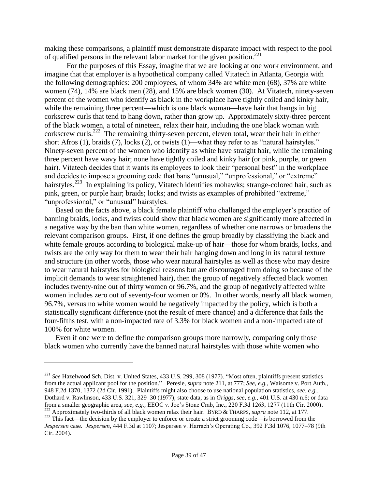making these comparisons, a plaintiff must demonstrate disparate impact with respect to the pool of qualified persons in the relevant labor market for the given position.<sup>221</sup>

For the purposes of this Essay, imagine that we are looking at one work environment, and imagine that that employer is a hypothetical company called Vitatech in Atlanta, Georgia with the following demographics: 200 employees, of whom 34% are white men (68), 37% are white women (74), 14% are black men (28), and 15% are black women (30). At Vitatech, ninety-seven percent of the women who identify as black in the workplace have tightly coiled and kinky hair, while the remaining three percent—which is one black woman—have hair that hangs in big corkscrew curls that tend to hang down, rather than grow up. Approximately sixty-three percent of the black women, a total of nineteen, relax their hair, including the one black woman with corkscrew curls.<sup>222</sup> The remaining thirty-seven percent, eleven total, wear their hair in either short Afros  $(1)$ , braids  $(7)$ , locks  $(2)$ , or twists  $(1)$ —what they refer to as "natural hairstyles." Ninety-seven percent of the women who identify as white have straight hair, while the remaining three percent have wavy hair; none have tightly coiled and kinky hair (or pink, purple, or green hair). Vitatech decides that it wants its employees to look their "personal best" in the workplace and decides to impose a grooming code that bans "unusual," "unprofessional," or "extreme" hairstyles.<sup>223</sup> In explaining its policy, Vitatech identifies mohawks; strange-colored hair, such as pink, green, or purple hair; braids; locks; and twists as examples of prohibited "extreme," "unprofessional," or "unusual" hairstyles.

Based on the facts above, a black female plaintiff who challenged the employer's practice of banning braids, locks, and twists could show that black women are significantly more affected in a negative way by the ban than white women, regardless of whether one narrows or broadens the relevant comparison groups. First, if one defines the group broadly by classifying the black and white female groups according to biological make-up of hair—those for whom braids, locks, and twists are the only way for them to wear their hair hanging down and long in its natural texture and structure (in other words, those who wear natural hairstyles as well as those who may desire to wear natural hairstyles for biological reasons but are discouraged from doing so because of the implicit demands to wear straightened hair), then the group of negatively affected black women includes twenty-nine out of thirty women or 96.7%, and the group of negatively affected white women includes zero out of seventy-four women or 0%. In other words, nearly all black women, 96.7%, versus no white women would be negatively impacted by the policy, which is both a statistically significant difference (not the result of mere chance) and a difference that fails the four-fifths test, with a non-impacted rate of 3.3% for black women and a non-impacted rate of 100% for white women.

Even if one were to define the comparison groups more narrowly, comparing only those black women who currently have the banned natural hairstyles with those white women who

<sup>&</sup>lt;sup>221</sup> See Hazelwood Sch. Dist. v. United States, 433 U.S. 299, 308 (1977). "Most often, plaintiffs present statistics from the actual applicant pool for the position.‖ Peresie, *supra* note [211,](#page-39-0) at 777; *See, e.g.*, Waisome v. Port Auth., 948 F.2d 1370, 1372 (2d Cir. 1991). Plaintiffs might also choose to use national population statistics, *see, e.g.*, Dothard v. Rawlinson, 433 U.S. 321, 329–30 (1977); state data, as in *Griggs*, *see, e.g.*, 401 U.S. at 430 n.6; or data from a smaller geographic area, *see, e.g.*, EEOC v. Joe's Stone Crab, Inc., 220 F.3d 1263, 1277 (11th Cir. 2000). <sup>222</sup> Approximately two-thirds of all black women relax their hair. BYRD & THARPS, *supra* note [112,](#page-21-1) at 177.

<sup>&</sup>lt;sup>223</sup> This fact—the decision by the employer to enforce or create a strict grooming code—is borrowed from the *Jespersen* case. *Jespersen*, 444 F.3d at 1107; Jespersen v. Harrach's Operating Co., 392 F.3d 1076, 1077–78 (9th Cir. 2004).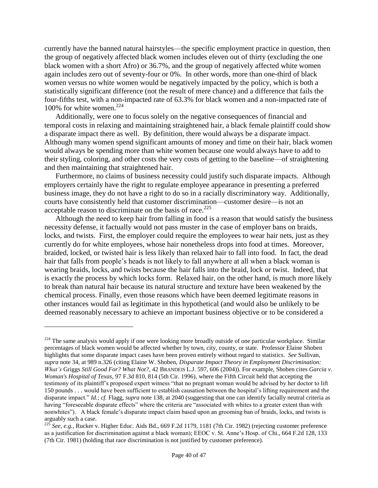currently have the banned natural hairstyles—the specific employment practice in question, then the group of negatively affected black women includes eleven out of thirty (excluding the one black women with a short Afro) or 36.7%, and the group of negatively affected white women again includes zero out of seventy-four or 0%. In other words, more than one-third of black women versus no white women would be negatively impacted by the policy, which is both a statistically significant difference (not the result of mere chance) and a difference that fails the four-fifths test, with a non-impacted rate of 63.3% for black women and a non-impacted rate of 100% for white women.<sup>224</sup>

Additionally, were one to focus solely on the negative consequences of financial and temporal costs in relaxing and maintaining straightened hair, a black female plaintiff could show a disparate impact there as well. By definition, there would always be a disparate impact. Although many women spend significant amounts of money and time on their hair, black women would always be spending more than white women because one would always have to add to their styling, coloring, and other costs the very costs of getting to the baseline—of straightening and then maintaining that straightened hair.

Furthermore, no claims of business necessity could justify such disparate impacts. Although employers certainly have the right to regulate employee appearance in presenting a preferred business image, they do not have a right to do so in a racially discriminatory way. Additionally, courts have consistently held that customer discrimination—customer desire—is not an acceptable reason to discriminate on the basis of race.<sup>225</sup>

Although the need to keep hair from falling in food is a reason that would satisfy the business necessity defense, it factually would not pass muster in the case of employer bans on braids, locks, and twists. First, the employer could require the employees to wear hair nets, just as they currently do for white employees, whose hair nonetheless drops into food at times. Moreover, braided, locked, or twisted hair is less likely than relaxed hair to fall into food. In fact, the dead hair that falls from people's heads is not likely to fall anywhere at all when a black woman is wearing braids, locks, and twists because the hair falls into the braid, lock or twist. Indeed, that is exactly the process by which locks form. Relaxed hair, on the other hand, is much more likely to break than natural hair because its natural structure and texture have been weakened by the chemical process. Finally, even those reasons which have been deemed legitimate reasons in other instances would fail as legitimate in this hypothetical (and would also be unlikely to be deemed reasonably necessary to achieve an important business objective or to be considered a

 $224$  The same analysis would apply if one were looking more broadly outside of one particular workplace. Similar percentages of black women would be affected whether by town, city, county, or state. Professor Elaine Shoben highlights that some disparate impact cases have been proven entirely without regard to statistics. *See* Sullivan, *supra* note [34,](#page-9-1) at 989 n.326 (citing Elaine W. Shoben, *Disparate Impact Theory in Employment Discrimination: What"s* Griggs *Still Good For? What Not?*, 42 BRANDEIS L.J. 597, 606 (2004)). For example, Shoben cites *Garcia v. Woman's Hospital of Texas*, 97 F.3d 810, 814 (5th Cir. 1996), where the Fifth Circuit held that accepting the testimony of its plaintiff's proposed expert witness "that no pregnant woman would be advised by her doctor to lift 150 pounds . . . would have been sufficient to establish causation between the hospital's lifting requirement and the disparate impact." *Id.*; *cf.* Flagg, *supra* note [138,](#page-26-0) at 2040 (suggesting that one can identify facially neutral criteria as having "foreseeable disparate effects" where the criteria are "associated with whites to a greater extent than with nonwhites"). A black female's disparate impact claim based upon an grooming ban of braids, locks, and twists is arguably such a case.

<sup>225</sup> *See, e.g.*, Rucker v. Higher Educ. Aids Bd., 669 F.2d 1179, 1181 (7th Cir. 1982) (rejecting customer preference as a justification for discrimination against a black woman); EEOC v. St. Anne's Hosp. of Chi., 664 F.2d 128, 133 (7th Cir. 1981) (holding that race discrimination is not justified by customer preference).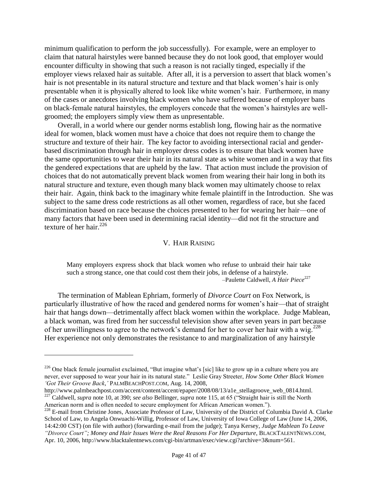minimum qualification to perform the job successfully). For example, were an employer to claim that natural hairstyles were banned because they do not look good, that employer would encounter difficulty in showing that such a reason is not racially tinged, especially if the employer views relaxed hair as suitable. After all, it is a perversion to assert that black women's hair is not presentable in its natural structure and texture and that black women's hair is only presentable when it is physically altered to look like white women's hair. Furthermore, in many of the cases or anecdotes involving black women who have suffered because of employer bans on black-female natural hairstyles, the employers concede that the women's hairstyles are wellgroomed; the employers simply view them as unpresentable.

Overall, in a world where our gender norms establish long, flowing hair as the normative ideal for women, black women must have a choice that does not require them to change the structure and texture of their hair. The key factor to avoiding intersectional racial and genderbased discrimination through hair in employer dress codes is to ensure that black women have the same opportunities to wear their hair in its natural state as white women and in a way that fits the gendered expectations that are upheld by the law. That action must include the provision of choices that do not automatically prevent black women from wearing their hair long in both its natural structure and texture, even though many black women may ultimately choose to relax their hair. Again, think back to the imaginary white female plaintiff in the Introduction. She was subject to the same dress code restrictions as all other women, regardless of race, but she faced discrimination based on race because the choices presented to her for wearing her hair—one of many factors that have been used in determining racial identity—did not fit the structure and texture of her hair. $^{226}$ 

#### <span id="page-42-0"></span>V. HAIR RAISING

Many employers express shock that black women who refuse to unbraid their hair take such a strong stance, one that could cost them their jobs, in defense of a hairstyle. –Paulette Caldwell, *A Hair Piece*<sup>227</sup>

The termination of Mablean Ephriam, formerly of *Divorce Court* on Fox Network, is particularly illustrative of how the raced and gendered norms for women's hair—that of straight hair that hangs down—detrimentally affect black women within the workplace. Judge Mablean, a black woman, was fired from her successful television show after seven years in part because of her unwillingness to agree to the network's demand for her to cover her hair with a wig.<sup>228</sup> Her experience not only demonstrates the resistance to and marginalization of any hairstyle

l

<sup>&</sup>lt;sup>226</sup> One black female journalist exclaimed, "But imagine what's [sic] like to grow up in a culture where you are never, ever supposed to wear your hair in its natural state.‖ Leslie Gray Streeter, *How Some Other Black Women "Got Their Groove Back*,*"* PALMBEACHPOST.COM, Aug. 14, 2008,

http://www.palmbeachpost.com/accent/content/accent/epaper/2008/08/13/a1e\_stellagroove\_web\_0814.html. <sup>227</sup> Caldwell, *supra* note [10,](#page-5-0) at 390; *see also* Bellinger, *supra* note [115,](#page-21-0) at 65 ("Straight hair is still the North American norm and is often needed to secure employment for African American women.").

<sup>&</sup>lt;sup>228</sup> E-mail from Christine Jones, Associate Professor of Law, University of the District of Columbia David A. Clarke School of Law, to Angela Onwuachi-Willig, Professor of Law, University of Iowa College of Law (June 14, 2006, 14:42:00 CST) (on file with author) (forwarding e-mail from the judge); Tanya Kersey, *Judge Mablean To Leave "Divorce Court"; Money and Hair Issues Were the Real Reasons For Her Departure*, BLACKTALENTNEWS.COM,

Apr. 10, 2006, http://www.blacktalentnews.com/cgi-bin/artman/exec/view.cgi?archive=3&num=561.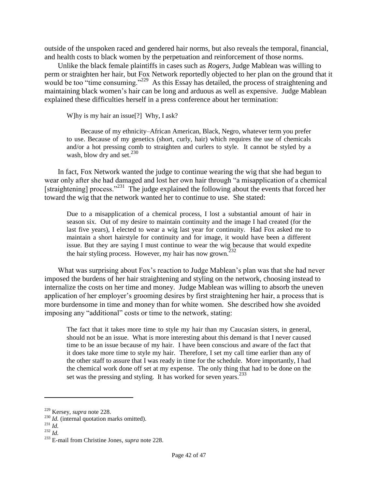outside of the unspoken raced and gendered hair norms, but also reveals the temporal, financial, and health costs to black women by the perpetuation and reinforcement of those norms.

Unlike the black female plaintiffs in cases such as *Rogers*, Judge Mablean was willing to perm or straighten her hair, but Fox Network reportedly objected to her plan on the ground that it would be too "time consuming."<sup>229</sup> As this Essay has detailed, the process of straightening and maintaining black women's hair can be long and arduous as well as expensive. Judge Mablean explained these difficulties herself in a press conference about her termination:

W]hy is my hair an issue[?] Why, I ask?

Because of my ethnicity–African American, Black, Negro, whatever term you prefer to use. Because of my genetics (short, curly, hair) which requires the use of chemicals and/or a hot pressing comb to straighten and curlers to style. It cannot be styled by a wash, blow dry and set. $^{230}$ 

In fact, Fox Network wanted the judge to continue wearing the wig that she had begun to wear only after she had damaged and lost her own hair through "a misapplication of a chemical [straightening] process."<sup>231</sup> The judge explained the following about the events that forced her toward the wig that the network wanted her to continue to use. She stated:

Due to a misapplication of a chemical process, I lost a substantial amount of hair in season six. Out of my desire to maintain continuity and the image I had created (for the last five years), I elected to wear a wig last year for continuity. Had Fox asked me to maintain a short hairstyle for continuity and for image, it would have been a different issue. But they are saying I must continue to wear the wig because that would expedite the hair styling process. However, my hair has now grown.<sup>232</sup>

What was surprising about Fox's reaction to Judge Mablean's plan was that she had never imposed the burdens of her hair straightening and styling on the network, choosing instead to internalize the costs on her time and money. Judge Mablean was willing to absorb the uneven application of her employer's grooming desires by first straightening her hair, a process that is more burdensome in time and money than for white women. She described how she avoided imposing any "additional" costs or time to the network, stating:

The fact that it takes more time to style my hair than my Caucasian sisters, in general, should not be an issue. What is more interesting about this demand is that I never caused time to be an issue because of my hair. I have been conscious and aware of the fact that it does take more time to style my hair. Therefore, I set my call time earlier than any of the other staff to assure that I was ready in time for the schedule. More importantly, I had the chemical work done off set at my expense. The only thing that had to be done on the set was the pressing and styling. It has worked for seven years.  $233$ 

l

<sup>229</sup> Kersey, *supra* note [228.](#page-42-0)

<sup>&</sup>lt;sup>230</sup> *Id.* (internal quotation marks omitted).

<sup>231</sup> *Id.*

<sup>232</sup> *Id.*

<sup>233</sup> E-mail from Christine Jones, *supra* note [228.](#page-42-0)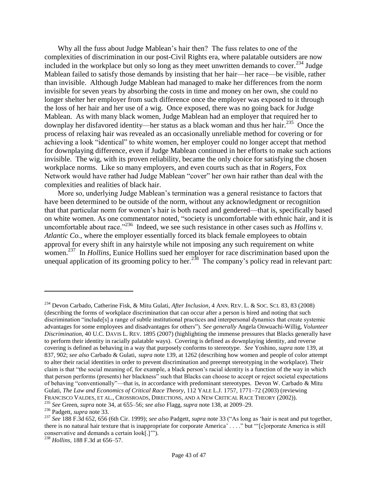Why all the fuss about Judge Mablean's hair then? The fuss relates to one of the complexities of discrimination in our post-Civil Rights era, where palatable outsiders are now included in the workplace but only so long as they meet unwritten demands to cover.<sup>234</sup> Judge Mablean failed to satisfy those demands by insisting that her hair—her race—be visible, rather than invisible. Although Judge Mablean had managed to make her differences from the norm invisible for seven years by absorbing the costs in time and money on her own, she could no longer shelter her employer from such difference once the employer was exposed to it through the loss of her hair and her use of a wig. Once exposed, there was no going back for Judge Mablean. As with many black women, Judge Mablean had an employer that required her to downplay her disfavored identity—her status as a black woman and thus her hair.<sup>235</sup> Once the process of relaxing hair was revealed as an occasionally unreliable method for covering or for achieving a look "identical" to white women, her employer could no longer accept that method for downplaying difference, even if Judge Mablean continued in her efforts to make such actions invisible. The wig, with its proven reliability, became the only choice for satisfying the chosen workplace norms. Like so many employers, and even courts such as that in *Rogers*, Fox Network would have rather had Judge Mablean "cover" her own hair rather than deal with the complexities and realities of black hair.

More so, underlying Judge Mablean's termination was a general resistance to factors that have been determined to be outside of the norm, without any acknowledgment or recognition that that particular norm for women's hair is both raced and gendered—that is, specifically based on white women. As one commentator noted, "society is uncomfortable with ethnic hair, and it is uncomfortable about race."<sup>236</sup> Indeed, we see such resistance in other cases such as *Hollins v*. *Atlantic Co.*, where the employer essentially forced its black female employees to obtain approval for every shift in any hairstyle while not imposing any such requirement on white women.<sup>237</sup> In *Hollins*, Eunice Hollins sued her employer for race discrimination based upon the unequal application of its grooming policy to her.<sup>238</sup> The company's policy read in relevant part:

<sup>234</sup> Devon Carbado, Catherine Fisk, & Mitu Gulati, *After Inclusion*, 4 ANN. REV. L. & SOC. SCI. 83, 83 (2008) (describing the forms of workplace discrimination that can occur after a person is hired and noting that such discrimination "include[s] a range of subtle institutional practices and interpersonal dynamics that create systemic advantages for some employees and disadvantages for others‖). *See generally* Angela Onwuachi-Willig, *Volunteer Discrimination*, 40 U.C. DAVIS L. REV. 1895 (2007) (highlighting the immense pressures that Blacks generally have to perform their identity in racially palatable ways). Covering is defined as downplaying identity, and reverse covering is defined as behaving in a way that purposely conforms to stereotype. *See* Yoshino, *supra* not[e 139,](#page-27-0) at 837, 902; *see also* Carbado & Gulati, *supra* note [139,](#page-27-0) at 1262 (describing how women and people of color attempt to alter their racial identities in order to prevent discrimination and preempt stereotyping in the workplace). Their claim is that "the social meaning of, for example, a black person's racial identity is a function of the way in which that person performs (presents) her blackness" such that Blacks can choose to accept or reject societal expectations of behaving "conventionally"—that is, in accordance with predominant stereotypes. Devon W. Carbado & Mitu Gulati, *The Law and Economics of Critical Race Theory*, 112 YALE L.J. 1757, 1771–72 (2003) (reviewing FRANCISCO VALDES, ET AL., CROSSROADS, DIRECTIONS, AND A NEW CRITICAL RACE THEORY (2002)).

<sup>235</sup> *See* Green, *supra* note [34,](#page-9-1) at 655–56; *see also* Flagg, *supra* note [138,](#page-26-0) at 2009–29.

<sup>236</sup> Padgett, *supra* note [33.](#page-9-0)

<sup>&</sup>lt;sup>237</sup> See 188 F.3d 652, 656 (6th Cir. 1999); *see also* Padgett, *supra* not[e 33](#page-9-0) ("As long as 'hair is neat and put together, there is no natural hair texture that is inappropriate for corporate America' . . . . " but "[c]orporate America is still conservative and demands a certain  $\text{look}[\cdot]$ "").

<sup>238</sup> *Hollins*, 188 F.3d at 656–57.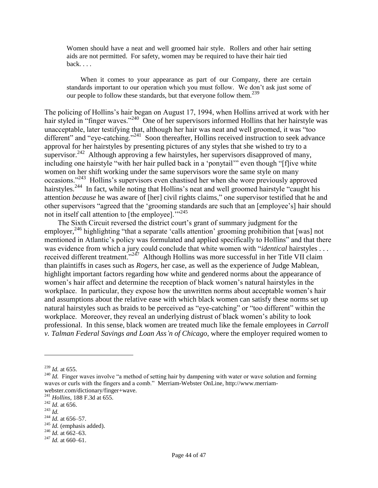Women should have a neat and well groomed hair style. Rollers and other hair setting aids are not permitted. For safety, women may be required to have their hair tied back. . . .

When it comes to your appearance as part of our Company, there are certain standards important to our operation which you must follow. We don't ask just some of our people to follow these standards, but that everyone follow them.<sup>239</sup>

The policing of Hollins's hair began on August 17, 1994, when Hollins arrived at work with her hair styled in "finger waves."<sup>240</sup> One of her supervisors informed Hollins that her hairstyle was unacceptable, later testifying that, although her hair was neat and well groomed, it was "too different" and "eye-catching."<sup>241</sup> Soon thereafter, Hollins received instruction to seek advance approval for her hairstyles by presenting pictures of any styles that she wished to try to a supervisor.<sup>242</sup> Although approving a few hairstyles, her supervisors disapproved of many, including one hairstyle "with her hair pulled back in a 'ponytail'" even though "[f]ive white women on her shift working under the same supervisors wore the same style on many occasions."<sup>243</sup> Hollins's supervisors even chastised her when she wore previously approved hairstyles.<sup>244</sup> In fact, while noting that Hollins's neat and well groomed hairstyle "caught his attention *because* he was aware of [her] civil rights claims," one supervisor testified that he and other supervisors "agreed that the 'grooming standards are such that an [employee's] hair should not in itself call attention to [the employee]. $\frac{1.245}{2.245}$ 

The Sixth Circuit reversed the district court's grant of summary judgment for the employer,<sup>246</sup> highlighting "that a separate 'calls attention' grooming prohibition that [was] not mentioned in Atlantic's policy was formulated and applied specifically to Hollins" and that there was evidence from which a jury could conclude that white women with "*identical* hairstyles . . . received different treatment.<sup>3247</sup> Although Hollins was more successful in her Title VII claim than plaintiffs in cases such as *Rogers*, her case, as well as the experience of Judge Mablean, highlight important factors regarding how white and gendered norms about the appearance of women's hair affect and determine the reception of black women's natural hairstyles in the workplace. In particular, they expose how the unwritten norms about acceptable women's hair and assumptions about the relative ease with which black women can satisfy these norms set up natural hairstyles such as braids to be perceived as "eye-catching" or "too different" within the workplace. Moreover, they reveal an underlying distrust of black women's ability to look professional. In this sense, black women are treated much like the female employees in *Carroll v. Talman Federal Savings and Loan Ass"n of Chicago*, where the employer required women to

l

 $^{239}$  *Id.* at 655.

 $^{240}$  *Id.* Finger waves involve "a method of setting hair by dampening with water or wave solution and forming waves or curls with the fingers and a comb." Merriam-Webster OnLine, http://www.merriamwebster.com/dictionary/finger+wave.

<sup>241</sup> *Hollins*, 188 F.3d at 655.

 $^{242}$  *Id.* at 656.

 $^{243}$  *Id.* 

 $^{244}$  *Id.* at 656–57.

 $^{245}$  *Id.* (emphasis added).

 $^{246}$  *Id.* at 662–63.

<sup>247</sup> *Id.* at 660–61.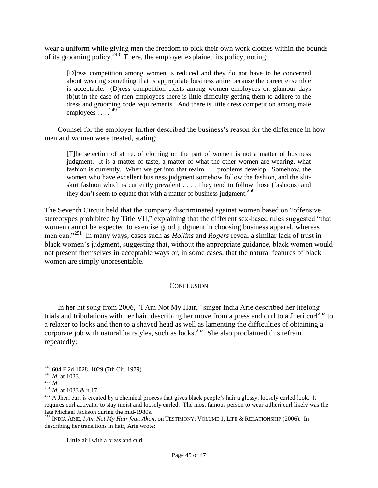wear a uniform while giving men the freedom to pick their own work clothes within the bounds of its grooming policy.<sup>248</sup> There, the employer explained its policy, noting:

[D]ress competition among women is reduced and they do not have to be concerned about wearing something that is appropriate business attire because the career ensemble is acceptable. (D)ress competition exists among women employees on glamour days (b)ut in the case of men employees there is little difficulty getting them to adhere to the dress and grooming code requirements. And there is little dress competition among male employees  $\ldots$ <sup>249</sup>

Counsel for the employer further described the business's reason for the difference in how men and women were treated, stating:

[T]he selection of attire, of clothing on the part of women is not a matter of business judgment. It is a matter of taste, a matter of what the other women are wearing, what fashion is currently. When we get into that realm . . . problems develop. Somehow, the women who have excellent business judgment somehow follow the fashion, and the slitskirt fashion which is currently prevalent . . . . They tend to follow those (fashions) and they don't seem to equate that with a matter of business judgment.<sup>250</sup>

The Seventh Circuit held that the company discriminated against women based on "offensive stereotypes prohibited by Title VII," explaining that the different sex-based rules suggested "that women cannot be expected to exercise good judgment in choosing business apparel, whereas men can."<sup>251</sup> In many ways, cases such as *Hollins* and *Rogers* reveal a similar lack of trust in black women's judgment, suggesting that, without the appropriate guidance, black women would not present themselves in acceptable ways or, in some cases, that the natural features of black women are simply unpresentable.

## **CONCLUSION**

In her hit song from 2006, "I Am Not My Hair," singer India Arie described her lifelong trials and tribulations with her hair, describing her move from a press and curl to a Jheri curl $^{252}$  to a relaxer to locks and then to a shaved head as well as lamenting the difficulties of obtaining a corporate job with natural hairstyles, such as locks.<sup>253</sup> She also proclaimed this refrain repeatedly:

l

Little girl with a press and curl

<sup>248</sup> 604 F.2d 1028, 1029 (7th Cir. 1979).

<sup>249</sup> *Id.* at 1033.

 $^{250}$  *Id.* 

<sup>251</sup> *Id.* at 1033 & n.17.

<sup>&</sup>lt;sup>252</sup> A Jheri curl is created by a chemical process that gives black people's hair a glossy, loosely curled look. It requires curl activator to stay moist and loosely curled. The most famous person to wear a Jheri curl likely was the late Michael Jackson during the mid-1980s.

<sup>253</sup> INDIA ARIE, *I Am Not My Hair feat. Akon*, on TESTIMONY: VOLUME 1, LIFE & RELATIONSHIP (2006). In describing her transitions in hair, Arie wrote: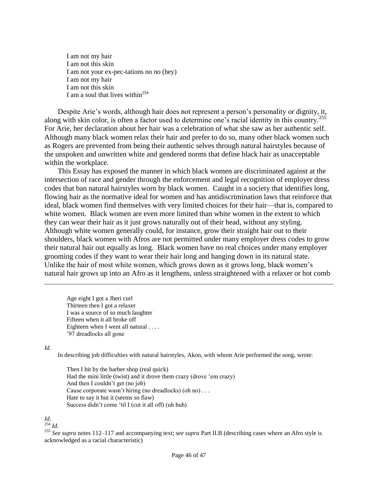I am not my hair I am not this skin I am not your ex-pec-tations no no (hey) I am not my hair I am not this skin I am a soul that lives within<sup>254</sup>

Despite Arie's words, although hair does not represent a person's personality or dignity, it, along with skin color, is often a factor used to determine one's racial identity in this country.<sup>255</sup> For Arie, her declaration about her hair was a celebration of what she saw as her authentic self. Although many black women relax their hair and prefer to do so, many other black women such as Rogers are prevented from being their authentic selves through natural hairstyles because of the unspoken and unwritten white and gendered norms that define black hair as unacceptable within the workplace.

This Essay has exposed the manner in which black women are discriminated against at the intersection of race and gender through the enforcement and legal recognition of employer dress codes that ban natural hairstyles worn by black women. Caught in a society that identifies long, flowing hair as the normative ideal for women and has antidiscrimination laws that reinforce that ideal, black women find themselves with very limited choices for their hair—that is, compared to white women. Black women are even more limited than white women in the extent to which they can wear their hair as it just grows naturally out of their head, without any styling. Although white women generally could, for instance, grow their straight hair out to their shoulders, black women with Afros are not permitted under many employer dress codes to grow their natural hair out equally as long. Black women have no real choices under many employer grooming codes if they want to wear their hair long and hanging down in its natural state. Unlike the hair of most white women, which grows down as it grows long, black women's natural hair grows up into an Afro as it lengthens, unless straightened with a relaxer or hot comb

Age eight I got a Jheri curl Thirteen then I got a relaxer I was a source of so much laughter Fifteen when it all broke off Eighteen when I went all natural . . . . '97 dreadlocks all gone

*Id.*

 $\overline{\phantom{a}}$ 

In describing job difficulties with natural hairstyles, Akon, with whom Arie performed the song, wrote:

Then I hit by the barber shop (real quick) Had the mini little (twist) and it drove them crazy (drove 'em crazy) And then I couldn't get (no job) Cause corporate wasn't hiring (no dreadlocks) (oh no) . . . Hate to say it but it (seems so flaw) Success didn't come 'til I (cut it all off) (uh huh)

# *Id.*

<sup>254</sup> *Id.*

<sup>255</sup> *See supra* note[s 112](#page-21-1)[–117](#page-22-0) and accompanying text; *see supra* Part II.B (describing cases where an Afro style is acknowledged as a racial characteristic)